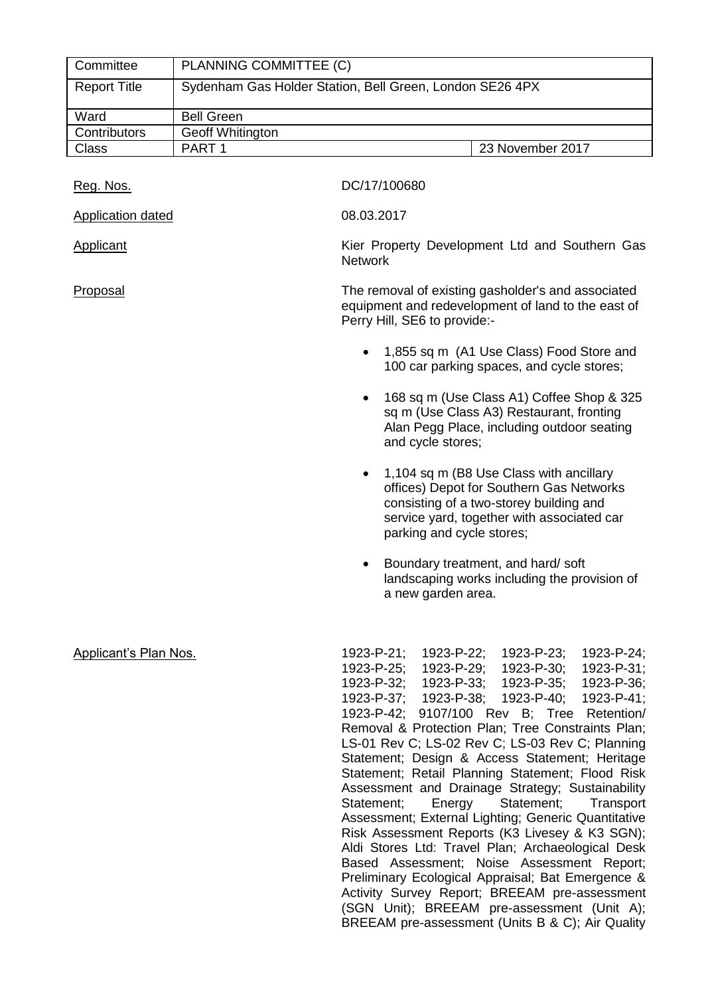| Committee                    | PLANNING COMMITTEE (C)  |                                                                                                                                                                                                                                                                                                                                                                                                                                                                                                                                                                                                                                                                                                                                                                                                                                                                                                                                                                  |
|------------------------------|-------------------------|------------------------------------------------------------------------------------------------------------------------------------------------------------------------------------------------------------------------------------------------------------------------------------------------------------------------------------------------------------------------------------------------------------------------------------------------------------------------------------------------------------------------------------------------------------------------------------------------------------------------------------------------------------------------------------------------------------------------------------------------------------------------------------------------------------------------------------------------------------------------------------------------------------------------------------------------------------------|
| <b>Report Title</b>          |                         | Sydenham Gas Holder Station, Bell Green, London SE26 4PX                                                                                                                                                                                                                                                                                                                                                                                                                                                                                                                                                                                                                                                                                                                                                                                                                                                                                                         |
| Ward                         | <b>Bell Green</b>       |                                                                                                                                                                                                                                                                                                                                                                                                                                                                                                                                                                                                                                                                                                                                                                                                                                                                                                                                                                  |
| Contributors                 | <b>Geoff Whitington</b> |                                                                                                                                                                                                                                                                                                                                                                                                                                                                                                                                                                                                                                                                                                                                                                                                                                                                                                                                                                  |
| <b>Class</b>                 | PART <sub>1</sub>       | 23 November 2017                                                                                                                                                                                                                                                                                                                                                                                                                                                                                                                                                                                                                                                                                                                                                                                                                                                                                                                                                 |
| Reg. Nos.                    |                         | DC/17/100680                                                                                                                                                                                                                                                                                                                                                                                                                                                                                                                                                                                                                                                                                                                                                                                                                                                                                                                                                     |
| Application dated            |                         | 08.03.2017                                                                                                                                                                                                                                                                                                                                                                                                                                                                                                                                                                                                                                                                                                                                                                                                                                                                                                                                                       |
| <b>Applicant</b>             |                         | Kier Property Development Ltd and Southern Gas<br><b>Network</b>                                                                                                                                                                                                                                                                                                                                                                                                                                                                                                                                                                                                                                                                                                                                                                                                                                                                                                 |
| Proposal                     |                         | The removal of existing gasholder's and associated<br>equipment and redevelopment of land to the east of<br>Perry Hill, SE6 to provide:-                                                                                                                                                                                                                                                                                                                                                                                                                                                                                                                                                                                                                                                                                                                                                                                                                         |
|                              |                         | 1,855 sq m (A1 Use Class) Food Store and<br>100 car parking spaces, and cycle stores;                                                                                                                                                                                                                                                                                                                                                                                                                                                                                                                                                                                                                                                                                                                                                                                                                                                                            |
|                              |                         | 168 sq m (Use Class A1) Coffee Shop & 325<br>$\bullet$<br>sq m (Use Class A3) Restaurant, fronting<br>Alan Pegg Place, including outdoor seating<br>and cycle stores;                                                                                                                                                                                                                                                                                                                                                                                                                                                                                                                                                                                                                                                                                                                                                                                            |
|                              |                         | 1,104 sq m (B8 Use Class with ancillary<br>٠<br>offices) Depot for Southern Gas Networks<br>consisting of a two-storey building and<br>service yard, together with associated car<br>parking and cycle stores;                                                                                                                                                                                                                                                                                                                                                                                                                                                                                                                                                                                                                                                                                                                                                   |
|                              |                         | Boundary treatment, and hard/soft<br>٠<br>landscaping works including the provision of<br>a new garden area.                                                                                                                                                                                                                                                                                                                                                                                                                                                                                                                                                                                                                                                                                                                                                                                                                                                     |
| <b>Applicant's Plan Nos.</b> |                         | 1923-P-21;<br>1923-P-22;<br>1923-P-23;<br>1923-P-24;<br>1923-P-25;<br>1923-P-29;<br>1923-P-30;<br>1923-P-31;<br>1923-P-32;<br>1923-P-33;<br>1923-P-35;<br>1923-P-36;<br>1923-P-37; 1923-P-38;<br>1923-P-40;<br>1923-P-41;<br>1923-P-42; 9107/100 Rev B; Tree<br>Retention/<br>Removal & Protection Plan; Tree Constraints Plan;<br>LS-01 Rev C; LS-02 Rev C; LS-03 Rev C; Planning<br>Statement; Design & Access Statement; Heritage<br>Statement; Retail Planning Statement; Flood Risk<br>Assessment and Drainage Strategy; Sustainability<br>Energy<br>Statement;<br>Statement;<br>Transport<br>Assessment; External Lighting; Generic Quantitative<br>Risk Assessment Reports (K3 Livesey & K3 SGN);<br>Aldi Stores Ltd: Travel Plan; Archaeological Desk<br>Based Assessment; Noise Assessment Report;<br>Preliminary Ecological Appraisal; Bat Emergence &<br>Activity Survey Report; BREEAM pre-assessment<br>(SGN Unit); BREEAM pre-assessment (Unit A); |

BREEAM pre-assessment (Units B & C); Air Quality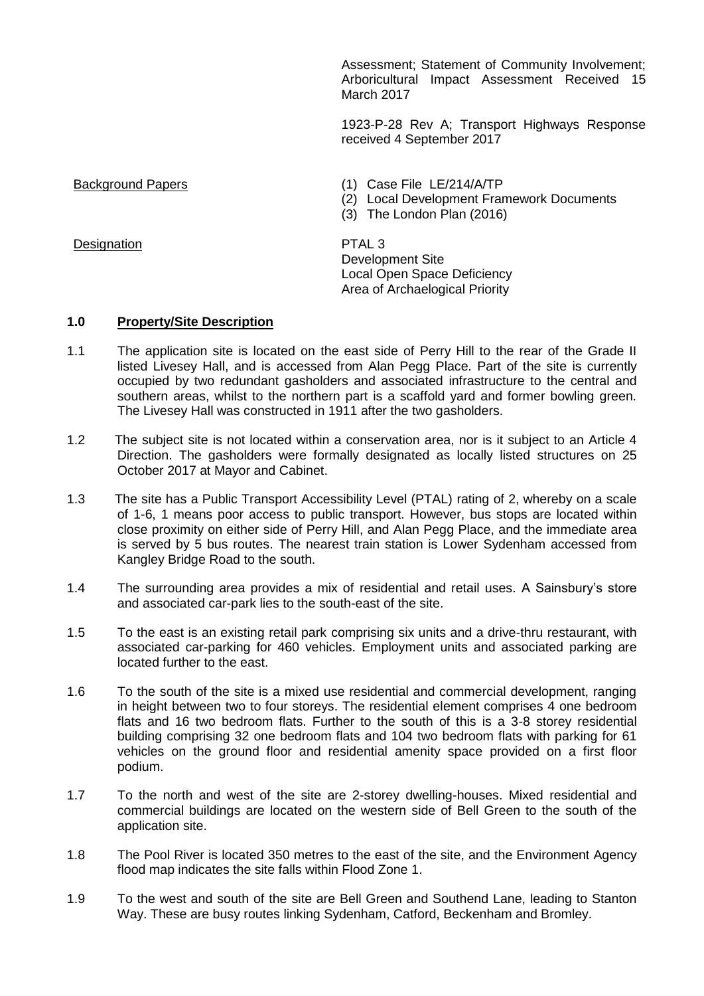Assessment; Statement of Community Involvement; Arboricultural Impact Assessment Received 15 March 2017

1923-P-28 Rev A; Transport Highways Response received 4 September 2017

Background Papers (1) Case File LE/214/A/TP

- (2) Local Development Framework Documents
- (3) The London Plan (2016)

Development Site Local Open Space Deficiency Area of Archaelogical Priority

### **1.0 Property/Site Description**

- 1.1 The application site is located on the east side of Perry Hill to the rear of the Grade II listed Livesey Hall, and is accessed from Alan Pegg Place. Part of the site is currently occupied by two redundant gasholders and associated infrastructure to the central and southern areas, whilst to the northern part is a scaffold yard and former bowling green. The Livesey Hall was constructed in 1911 after the two gasholders.
- 1.2 The subject site is not located within a conservation area, nor is it subject to an Article 4 Direction. The gasholders were formally designated as locally listed structures on 25 October 2017 at Mayor and Cabinet.
- 1.3 The site has a Public Transport Accessibility Level (PTAL) rating of 2, whereby on a scale of 1-6, 1 means poor access to public transport. However, bus stops are located within close proximity on either side of Perry Hill, and Alan Pegg Place, and the immediate area is served by 5 bus routes. The nearest train station is Lower Sydenham accessed from Kangley Bridge Road to the south.
- 1.4 The surrounding area provides a mix of residential and retail uses. A Sainsbury's store and associated car-park lies to the south-east of the site.
- 1.5 To the east is an existing retail park comprising six units and a drive-thru restaurant, with associated car-parking for 460 vehicles. Employment units and associated parking are located further to the east.
- 1.6 To the south of the site is a mixed use residential and commercial development, ranging in height between two to four storeys. The residential element comprises 4 one bedroom flats and 16 two bedroom flats. Further to the south of this is a 3-8 storey residential building comprising 32 one bedroom flats and 104 two bedroom flats with parking for 61 vehicles on the ground floor and residential amenity space provided on a first floor podium.
- 1.7 To the north and west of the site are 2-storey dwelling-houses. Mixed residential and commercial buildings are located on the western side of Bell Green to the south of the application site.
- 1.8 The Pool River is located 350 metres to the east of the site, and the Environment Agency flood map indicates the site falls within Flood Zone 1.
- 1.9 To the west and south of the site are Bell Green and Southend Lane, leading to Stanton Way. These are busy routes linking Sydenham, Catford, Beckenham and Bromley.

Designation **PTAL 3**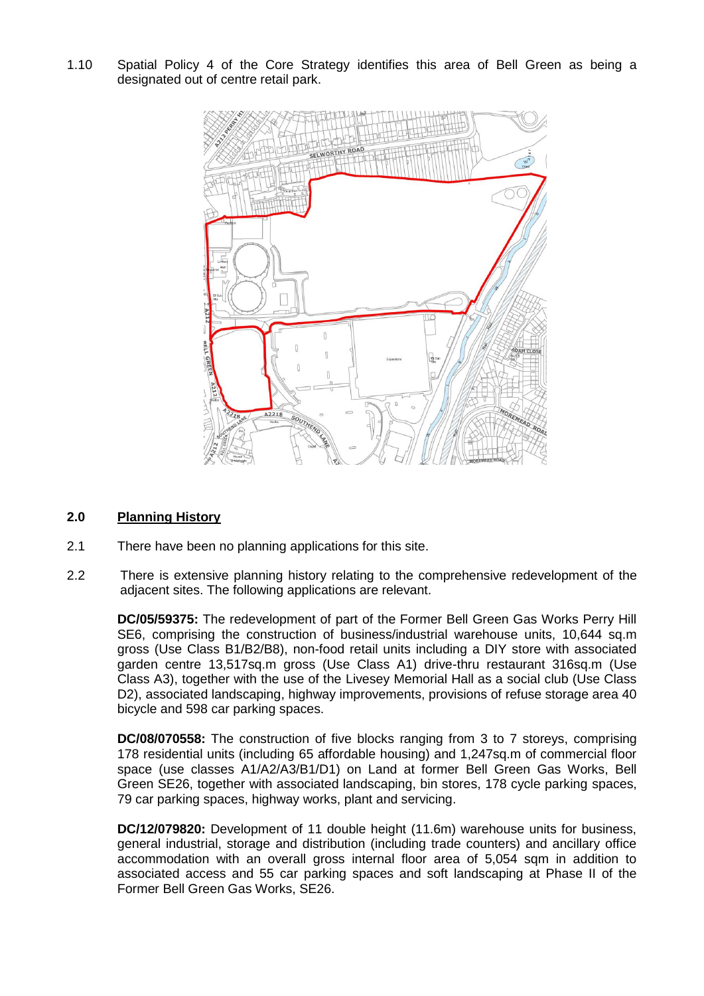1.10 Spatial Policy 4 of the Core Strategy identifies this area of Bell Green as being a designated out of centre retail park.



## **2.0 Planning History**

- 2.1 There have been no planning applications for this site.
- 2.2 There is extensive planning history relating to the comprehensive redevelopment of the adjacent sites. The following applications are relevant.

**DC/05/59375:** The redevelopment of part of the Former Bell Green Gas Works Perry Hill SE6, comprising the construction of business/industrial warehouse units, 10,644 sq.m gross (Use Class B1/B2/B8), non-food retail units including a DIY store with associated garden centre 13,517sq.m gross (Use Class A1) drive-thru restaurant 316sq.m (Use Class A3), together with the use of the Livesey Memorial Hall as a social club (Use Class D2), associated landscaping, highway improvements, provisions of refuse storage area 40 bicycle and 598 car parking spaces.

**DC/08/070558:** The construction of five blocks ranging from 3 to 7 storeys, comprising 178 residential units (including 65 affordable housing) and 1,247sq.m of commercial floor space (use classes A1/A2/A3/B1/D1) on Land at former Bell Green Gas Works, Bell Green SE26, together with associated landscaping, bin stores, 178 cycle parking spaces, 79 car parking spaces, highway works, plant and servicing.

**DC/12/079820:** Development of 11 double height (11.6m) warehouse units for business, general industrial, storage and distribution (including trade counters) and ancillary office accommodation with an overall gross internal floor area of 5,054 sqm in addition to associated access and 55 car parking spaces and soft landscaping at Phase II of the Former Bell Green Gas Works, SE26.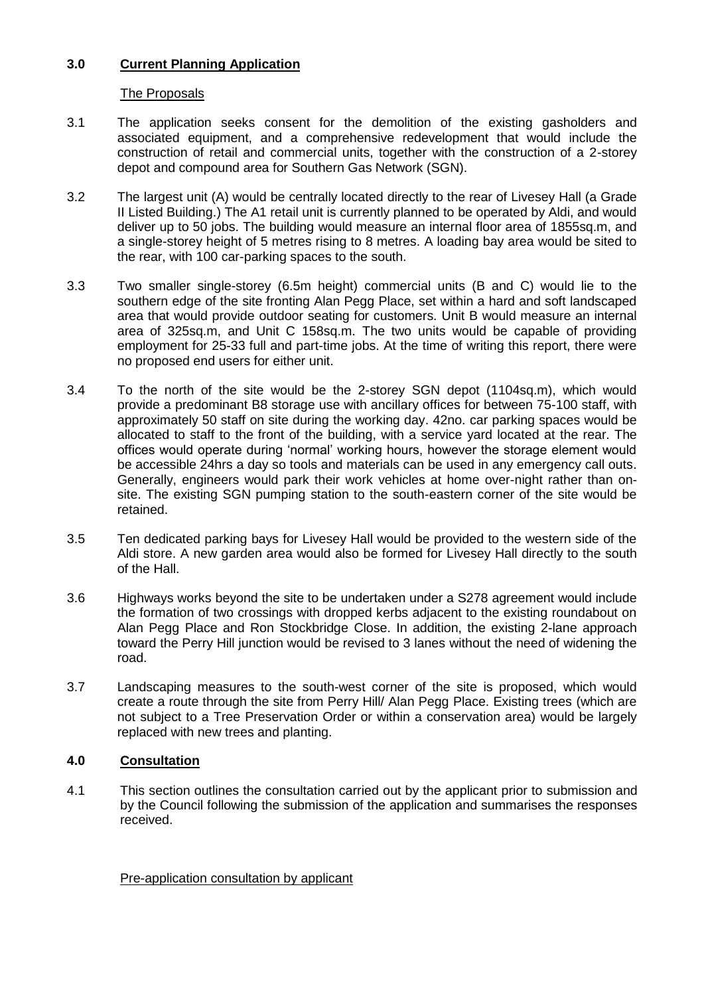## **3.0 Current Planning Application**

## The Proposals

- 3.1 The application seeks consent for the demolition of the existing gasholders and associated equipment, and a comprehensive redevelopment that would include the construction of retail and commercial units, together with the construction of a 2-storey depot and compound area for Southern Gas Network (SGN).
- 3.2 The largest unit (A) would be centrally located directly to the rear of Livesey Hall (a Grade II Listed Building.) The A1 retail unit is currently planned to be operated by Aldi, and would deliver up to 50 jobs. The building would measure an internal floor area of 1855sq.m, and a single-storey height of 5 metres rising to 8 metres. A loading bay area would be sited to the rear, with 100 car-parking spaces to the south.
- 3.3 Two smaller single-storey (6.5m height) commercial units (B and C) would lie to the southern edge of the site fronting Alan Pegg Place, set within a hard and soft landscaped area that would provide outdoor seating for customers. Unit B would measure an internal area of 325sq.m, and Unit C 158sq.m. The two units would be capable of providing employment for 25-33 full and part-time jobs. At the time of writing this report, there were no proposed end users for either unit.
- 3.4 To the north of the site would be the 2-storey SGN depot (1104sq.m), which would provide a predominant B8 storage use with ancillary offices for between 75-100 staff, with approximately 50 staff on site during the working day. 42no. car parking spaces would be allocated to staff to the front of the building, with a service yard located at the rear. The offices would operate during 'normal' working hours, however the storage element would be accessible 24hrs a day so tools and materials can be used in any emergency call outs. Generally, engineers would park their work vehicles at home over-night rather than onsite. The existing SGN pumping station to the south-eastern corner of the site would be retained.
- 3.5 Ten dedicated parking bays for Livesey Hall would be provided to the western side of the Aldi store. A new garden area would also be formed for Livesey Hall directly to the south of the Hall.
- 3.6 Highways works beyond the site to be undertaken under a S278 agreement would include the formation of two crossings with dropped kerbs adjacent to the existing roundabout on Alan Pegg Place and Ron Stockbridge Close. In addition, the existing 2-lane approach toward the Perry Hill junction would be revised to 3 lanes without the need of widening the road.
- 3.7 Landscaping measures to the south-west corner of the site is proposed, which would create a route through the site from Perry Hill/ Alan Pegg Place. Existing trees (which are not subject to a Tree Preservation Order or within a conservation area) would be largely replaced with new trees and planting.

# **4.0 Consultation**

4.1 This section outlines the consultation carried out by the applicant prior to submission and by the Council following the submission of the application and summarises the responses received.

Pre-application consultation by applicant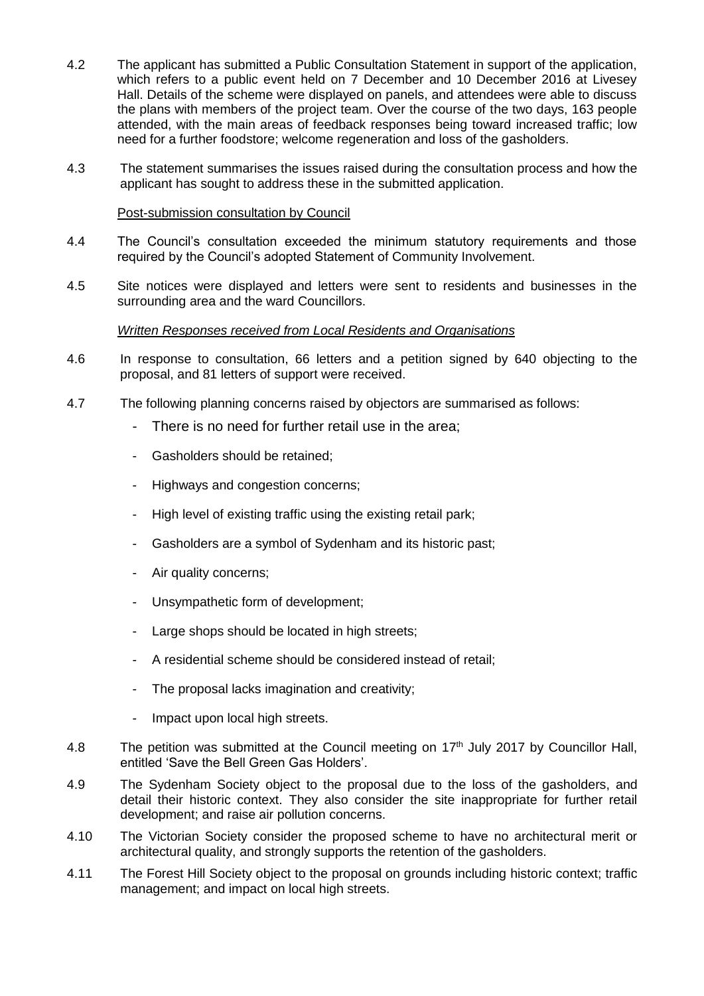- 4.2 The applicant has submitted a Public Consultation Statement in support of the application, which refers to a public event held on 7 December and 10 December 2016 at Livesey Hall. Details of the scheme were displayed on panels, and attendees were able to discuss the plans with members of the project team. Over the course of the two days, 163 people attended, with the main areas of feedback responses being toward increased traffic; low need for a further foodstore; welcome regeneration and loss of the gasholders.
- 4.3 The statement summarises the issues raised during the consultation process and how the applicant has sought to address these in the submitted application.

### Post-submission consultation by Council

- 4.4 The Council's consultation exceeded the minimum statutory requirements and those required by the Council's adopted Statement of Community Involvement.
- 4.5 Site notices were displayed and letters were sent to residents and businesses in the surrounding area and the ward Councillors.

### *Written Responses received from Local Residents and Organisations*

- 4.6 In response to consultation, 66 letters and a petition signed by 640 objecting to the proposal, and 81 letters of support were received.
- 4.7 The following planning concerns raised by objectors are summarised as follows:
	- There is no need for further retail use in the area;
	- Gasholders should be retained;
	- Highways and congestion concerns;
	- High level of existing traffic using the existing retail park;
	- Gasholders are a symbol of Sydenham and its historic past;
	- Air quality concerns;
	- Unsympathetic form of development;
	- Large shops should be located in high streets;
	- A residential scheme should be considered instead of retail;
	- The proposal lacks imagination and creativity;
	- Impact upon local high streets.
- 4.8 The petition was submitted at the Council meeting on 17<sup>th</sup> July 2017 by Councillor Hall, entitled 'Save the Bell Green Gas Holders'.
- 4.9 The Sydenham Society object to the proposal due to the loss of the gasholders, and detail their historic context. They also consider the site inappropriate for further retail development; and raise air pollution concerns.
- 4.10 The Victorian Society consider the proposed scheme to have no architectural merit or architectural quality, and strongly supports the retention of the gasholders.
- 4.11 The Forest Hill Society object to the proposal on grounds including historic context; traffic management; and impact on local high streets.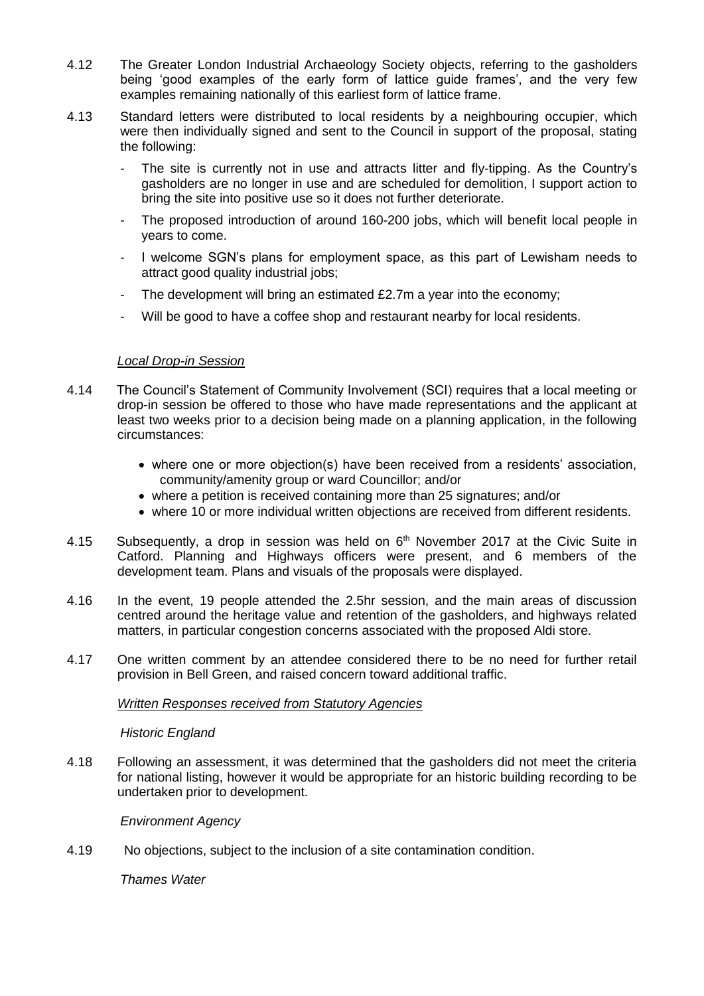- 4.12 The Greater London Industrial Archaeology Society objects, referring to the gasholders being 'good examples of the early form of lattice guide frames', and the very few examples remaining nationally of this earliest form of lattice frame.
- 4.13 Standard letters were distributed to local residents by a neighbouring occupier, which were then individually signed and sent to the Council in support of the proposal, stating the following:
	- The site is currently not in use and attracts litter and fly-tipping. As the Country's gasholders are no longer in use and are scheduled for demolition, I support action to bring the site into positive use so it does not further deteriorate.
	- The proposed introduction of around 160-200 jobs, which will benefit local people in years to come.
	- I welcome SGN's plans for employment space, as this part of Lewisham needs to attract good quality industrial jobs;
	- The development will bring an estimated £2.7m a year into the economy;
	- Will be good to have a coffee shop and restaurant nearby for local residents.

## *Local Drop-in Session*

- 4.14 The Council's Statement of Community Involvement (SCI) requires that a local meeting or drop-in session be offered to those who have made representations and the applicant at least two weeks prior to a decision being made on a planning application, in the following circumstances:
	- where one or more objection(s) have been received from a residents' association, community/amenity group or ward Councillor; and/or
	- where a petition is received containing more than 25 signatures; and/or
	- where 10 or more individual written objections are received from different residents.
- 4.15 Subsequently, a drop in session was held on  $6<sup>th</sup>$  November 2017 at the Civic Suite in Catford. Planning and Highways officers were present, and 6 members of the development team. Plans and visuals of the proposals were displayed.
- 4.16 In the event, 19 people attended the 2.5hr session, and the main areas of discussion centred around the heritage value and retention of the gasholders, and highways related matters, in particular congestion concerns associated with the proposed Aldi store.
- 4.17 One written comment by an attendee considered there to be no need for further retail provision in Bell Green, and raised concern toward additional traffic.

## *Written Responses received from Statutory Agencies*

## *Historic England*

4.18 Following an assessment, it was determined that the gasholders did not meet the criteria for national listing, however it would be appropriate for an historic building recording to be undertaken prior to development.

## *Environment Agency*

4.19 No objections, subject to the inclusion of a site contamination condition.

*Thames Water*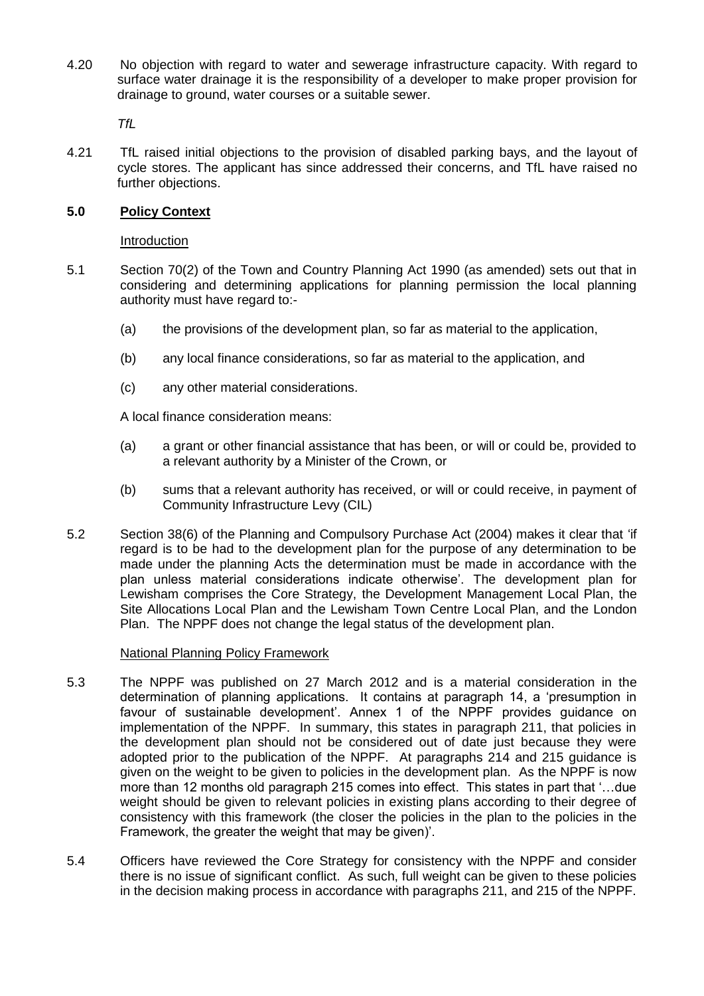4.20 No objection with regard to water and sewerage infrastructure capacity. With regard to surface water drainage it is the responsibility of a developer to make proper provision for drainage to ground, water courses or a suitable sewer.

*TfL*

4.21 TfL raised initial objections to the provision of disabled parking bays, and the layout of cycle stores. The applicant has since addressed their concerns, and TfL have raised no further objections.

## **5.0 Policy Context**

### Introduction

- 5.1 Section 70(2) of the Town and Country Planning Act 1990 (as amended) sets out that in considering and determining applications for planning permission the local planning authority must have regard to:-
	- (a) the provisions of the development plan, so far as material to the application,
	- (b) any local finance considerations, so far as material to the application, and
	- (c) any other material considerations.

A local finance consideration means:

- (a) a grant or other financial assistance that has been, or will or could be, provided to a relevant authority by a Minister of the Crown, or
- (b) sums that a relevant authority has received, or will or could receive, in payment of Community Infrastructure Levy (CIL)
- 5.2 Section 38(6) of the Planning and Compulsory Purchase Act (2004) makes it clear that 'if regard is to be had to the development plan for the purpose of any determination to be made under the planning Acts the determination must be made in accordance with the plan unless material considerations indicate otherwise'. The development plan for Lewisham comprises the Core Strategy, the Development Management Local Plan, the Site Allocations Local Plan and the Lewisham Town Centre Local Plan, and the London Plan. The NPPF does not change the legal status of the development plan.

### National Planning Policy Framework

- 5.3 The NPPF was published on 27 March 2012 and is a material consideration in the determination of planning applications. It contains at paragraph 14, a 'presumption in favour of sustainable development'. Annex 1 of the NPPF provides guidance on implementation of the NPPF. In summary, this states in paragraph 211, that policies in the development plan should not be considered out of date just because they were adopted prior to the publication of the NPPF. At paragraphs 214 and 215 guidance is given on the weight to be given to policies in the development plan. As the NPPF is now more than 12 months old paragraph 215 comes into effect. This states in part that '…due weight should be given to relevant policies in existing plans according to their degree of consistency with this framework (the closer the policies in the plan to the policies in the Framework, the greater the weight that may be given)'.
- 5.4 Officers have reviewed the Core Strategy for consistency with the NPPF and consider there is no issue of significant conflict. As such, full weight can be given to these policies in the decision making process in accordance with paragraphs 211, and 215 of the NPPF.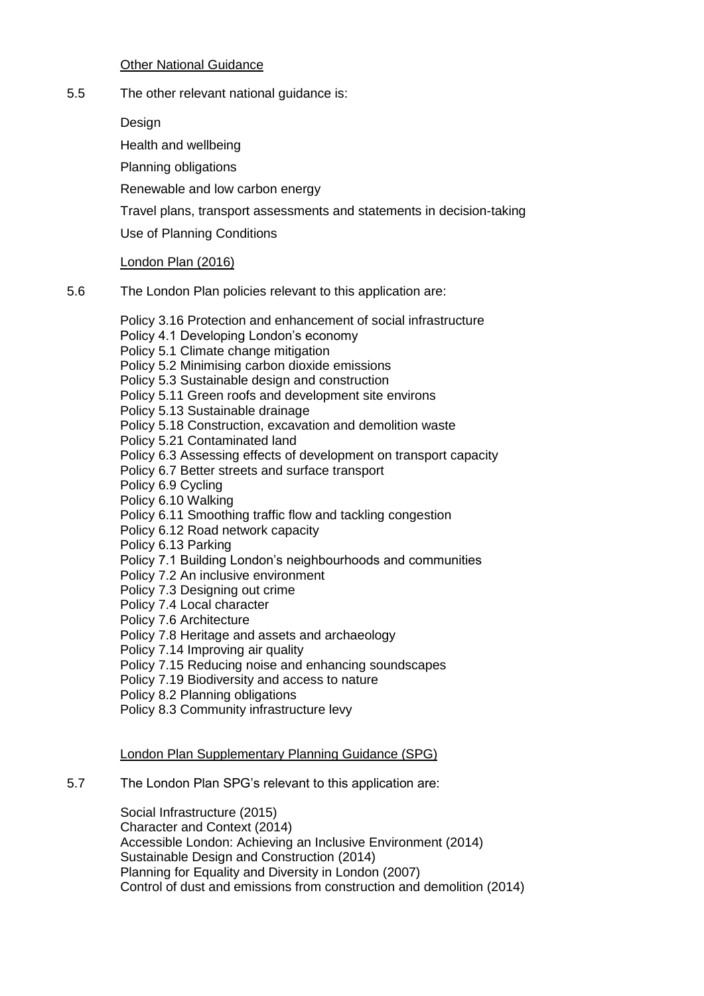### Other National Guidance

5.5 The other relevant national guidance is:

Design

Health and wellbeing

Planning obligations

Renewable and low carbon energy

Travel plans, transport assessments and statements in decision-taking

Use of Planning Conditions

## London Plan (2016)

5.6 The London Plan policies relevant to this application are:

Policy 3.16 Protection and enhancement of social infrastructure Policy 4.1 Developing London's economy Policy 5.1 Climate change mitigation Policy 5.2 Minimising carbon dioxide emissions Policy 5.3 Sustainable design and construction Policy 5.11 Green roofs and development site environs Policy 5.13 Sustainable drainage Policy 5.18 Construction, excavation and demolition waste Policy 5.21 Contaminated land Policy 6.3 Assessing effects of development on transport capacity Policy 6.7 Better streets and surface transport Policy 6.9 Cycling Policy 6.10 Walking Policy 6.11 Smoothing traffic flow and tackling congestion Policy 6.12 Road network capacity Policy 6.13 Parking Policy 7.1 Building London's neighbourhoods and communities Policy 7.2 An inclusive environment Policy 7.3 Designing out crime Policy 7.4 Local character Policy 7.6 Architecture Policy 7.8 Heritage and assets and archaeology Policy 7.14 Improving air quality Policy 7.15 Reducing noise and enhancing soundscapes Policy 7.19 Biodiversity and access to nature Policy 8.2 Planning obligations

Policy 8.3 Community infrastructure levy

## London Plan Supplementary Planning Guidance (SPG)

## 5.7 The London Plan SPG's relevant to this application are:

Social Infrastructure (2015) Character and Context (2014) [Accessible London: Achieving an Inclusive Environment](http://www.london.gov.uk/thelondonplan/guides/spg/spg_01.jsp) (2014) [Sustainable Design and Construction](http://www.london.gov.uk/thelondonplan/guides/spg/spg_04.jsp) (2014) [Planning for Equality and Diversity in London](http://www.london.gov.uk/thelondonplan/guides/spg/spg_07.jsp) (2007) [Control of dust and emissions from construction and demolition](http://www.london.gov.uk/thelondonplan/guides/bpg/bpg_04.jsp) (2014)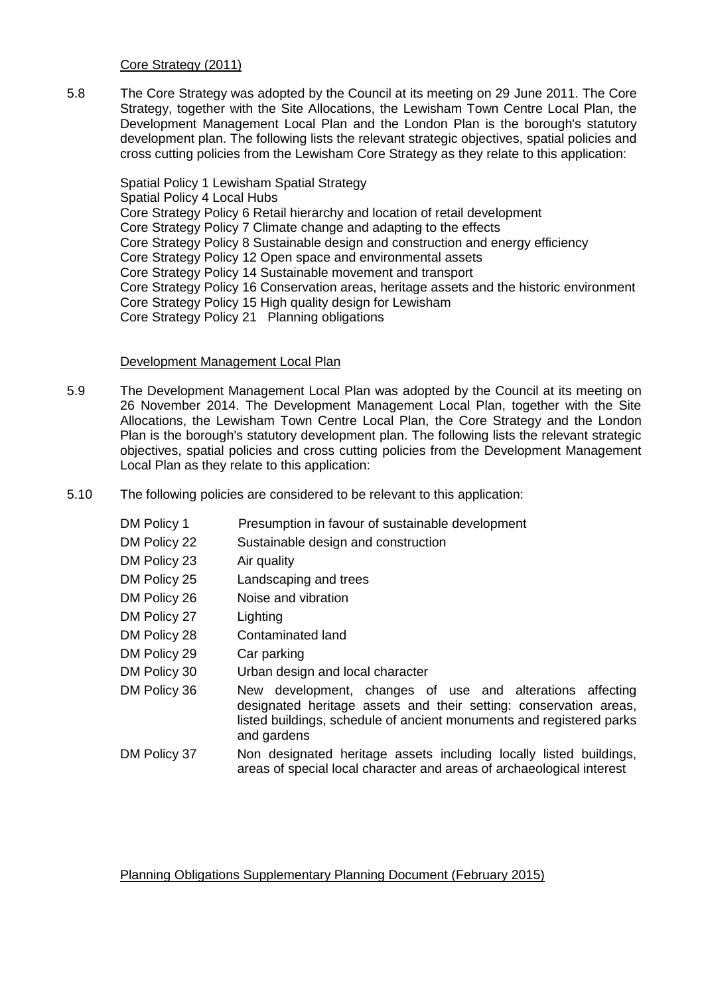Core Strategy (2011)

5.8 The Core Strategy was adopted by the Council at its meeting on 29 June 2011. The Core Strategy, together with the Site Allocations, the Lewisham Town Centre Local Plan, the Development Management Local Plan and the London Plan is the borough's statutory development plan. The following lists the relevant strategic objectives, spatial policies and cross cutting policies from the Lewisham Core Strategy as they relate to this application:

Spatial Policy 1 Lewisham Spatial Strategy Spatial Policy 4 Local Hubs Core Strategy Policy 6 Retail hierarchy and location of retail development Core Strategy Policy 7 Climate change and adapting to the effects Core Strategy Policy 8 Sustainable design and construction and energy efficiency Core Strategy Policy 12 Open space and environmental assets Core Strategy Policy 14 Sustainable movement and transport Core Strategy Policy 16 Conservation areas, heritage assets and the historic environment Core Strategy Policy 15 High quality design for Lewisham Core Strategy Policy 21 Planning obligations

#### Development Management Local Plan

- 5.9 The Development Management Local Plan was adopted by the Council at its meeting on 26 November 2014. The Development Management Local Plan, together with the Site Allocations, the Lewisham Town Centre Local Plan, the Core Strategy and the London Plan is the borough's statutory development plan. The following lists the relevant strategic objectives, spatial policies and cross cutting policies from the Development Management Local Plan as they relate to this application:
- 5.10 The following policies are considered to be relevant to this application:

| DM Policy 1  | Presumption in favour of sustainable development                                                                                                                                                                      |  |  |
|--------------|-----------------------------------------------------------------------------------------------------------------------------------------------------------------------------------------------------------------------|--|--|
| DM Policy 22 | Sustainable design and construction                                                                                                                                                                                   |  |  |
| DM Policy 23 | Air quality                                                                                                                                                                                                           |  |  |
| DM Policy 25 | Landscaping and trees                                                                                                                                                                                                 |  |  |
| DM Policy 26 | Noise and vibration                                                                                                                                                                                                   |  |  |
| DM Policy 27 | Lighting                                                                                                                                                                                                              |  |  |
| DM Policy 28 | Contaminated land                                                                                                                                                                                                     |  |  |
| DM Policy 29 | Car parking                                                                                                                                                                                                           |  |  |
| DM Policy 30 | Urban design and local character                                                                                                                                                                                      |  |  |
| DM Policy 36 | New development, changes of use and alterations affecting<br>designated heritage assets and their setting: conservation areas,<br>listed buildings, schedule of ancient monuments and registered parks<br>and gardens |  |  |
| DM Policy 37 | Non designated heritage assets including locally listed buildings,<br>areas of special local character and areas of archaeological interest                                                                           |  |  |

### Planning Obligations Supplementary Planning Document (February 2015)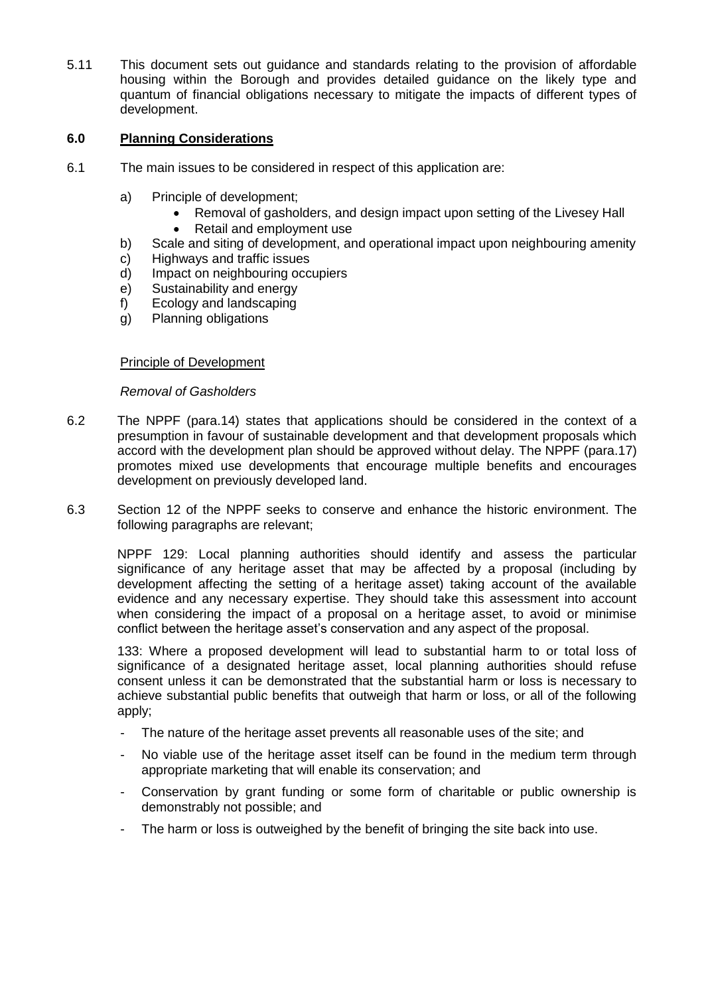5.11 This document sets out guidance and standards relating to the provision of affordable housing within the Borough and provides detailed guidance on the likely type and quantum of financial obligations necessary to mitigate the impacts of different types of development.

## **6.0 Planning Considerations**

- 6.1 The main issues to be considered in respect of this application are:
	- a) Principle of development;
		- Removal of gasholders, and design impact upon setting of the Livesey Hall
		- Retail and employment use
	- b) Scale and siting of development, and operational impact upon neighbouring amenity
	- c) Highways and traffic issues
	- d) Impact on neighbouring occupiers
	- e) Sustainability and energy
	- f) Ecology and landscaping
	- g) Planning obligations

### Principle of Development

### *Removal of Gasholders*

- 6.2 The NPPF (para.14) states that applications should be considered in the context of a presumption in favour of sustainable development and that development proposals which accord with the development plan should be approved without delay. The NPPF (para.17) promotes mixed use developments that encourage multiple benefits and encourages development on previously developed land.
- 6.3 Section 12 of the NPPF seeks to conserve and enhance the historic environment. The following paragraphs are relevant;

NPPF 129: Local planning authorities should identify and assess the particular significance of any heritage asset that may be affected by a proposal (including by development affecting the setting of a heritage asset) taking account of the available evidence and any necessary expertise. They should take this assessment into account when considering the impact of a proposal on a heritage asset, to avoid or minimise conflict between the heritage asset's conservation and any aspect of the proposal.

133: Where a proposed development will lead to substantial harm to or total loss of significance of a designated heritage asset, local planning authorities should refuse consent unless it can be demonstrated that the substantial harm or loss is necessary to achieve substantial public benefits that outweigh that harm or loss, or all of the following apply;

- The nature of the heritage asset prevents all reasonable uses of the site; and
- No viable use of the heritage asset itself can be found in the medium term through appropriate marketing that will enable its conservation; and
- Conservation by grant funding or some form of charitable or public ownership is demonstrably not possible; and
- The harm or loss is outweighed by the benefit of bringing the site back into use.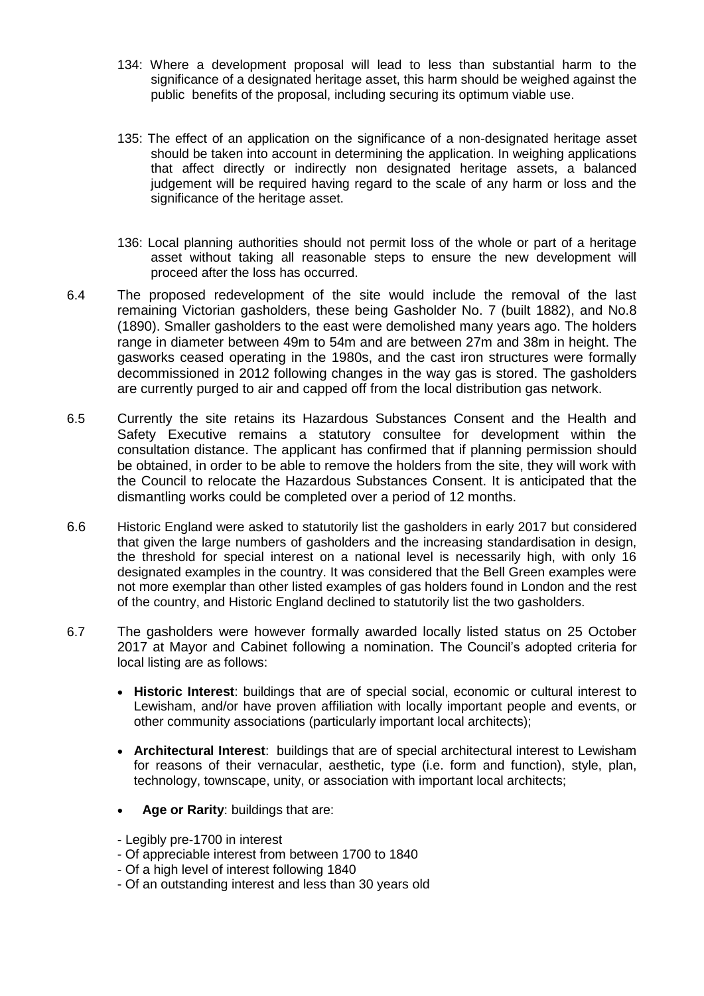- 134: Where a development proposal will lead to less than substantial harm to the significance of a designated heritage asset, this harm should be weighed against the public benefits of the proposal, including securing its optimum viable use.
- 135: The effect of an application on the significance of a non-designated heritage asset should be taken into account in determining the application. In weighing applications that affect directly or indirectly non designated heritage assets, a balanced judgement will be required having regard to the scale of any harm or loss and the significance of the heritage asset.
- 136: Local planning authorities should not permit loss of the whole or part of a heritage asset without taking all reasonable steps to ensure the new development will proceed after the loss has occurred.
- 6.4 The proposed redevelopment of the site would include the removal of the last remaining Victorian gasholders, these being Gasholder No. 7 (built 1882), and No.8 (1890). Smaller gasholders to the east were demolished many years ago. The holders range in diameter between 49m to 54m and are between 27m and 38m in height. The gasworks ceased operating in the 1980s, and the cast iron structures were formally decommissioned in 2012 following changes in the way gas is stored. The gasholders are currently purged to air and capped off from the local distribution gas network.
- 6.5 Currently the site retains its Hazardous Substances Consent and the Health and Safety Executive remains a statutory consultee for development within the consultation distance. The applicant has confirmed that if planning permission should be obtained, in order to be able to remove the holders from the site, they will work with the Council to relocate the Hazardous Substances Consent. It is anticipated that the dismantling works could be completed over a period of 12 months.
- 6.6 Historic England were asked to statutorily list the gasholders in early 2017 but considered that given the large numbers of gasholders and the increasing standardisation in design, the threshold for special interest on a national level is necessarily high, with only 16 designated examples in the country. It was considered that the Bell Green examples were not more exemplar than other listed examples of gas holders found in London and the rest of the country, and Historic England declined to statutorily list the two gasholders.
- 6.7 The gasholders were however formally awarded locally listed status on 25 October 2017 at Mayor and Cabinet following a nomination. The Council's adopted criteria for local listing are as follows:
	- **Historic Interest**: buildings that are of special social, economic or cultural interest to Lewisham, and/or have proven affiliation with locally important people and events, or other community associations (particularly important local architects);
	- **Architectural Interest**: buildings that are of special architectural interest to Lewisham for reasons of their vernacular, aesthetic, type (i.e. form and function), style, plan, technology, townscape, unity, or association with important local architects;
	- **Age or Rarity**: buildings that are:
	- Legibly pre-1700 in interest
	- Of appreciable interest from between 1700 to 1840
	- Of a high level of interest following 1840
	- Of an outstanding interest and less than 30 years old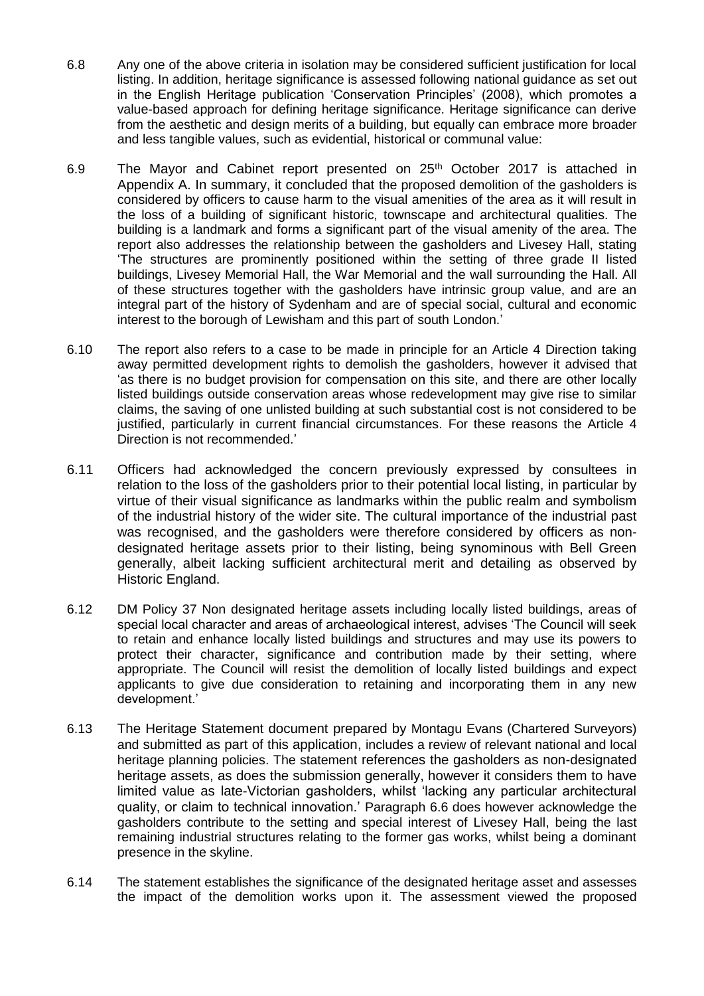- 6.8 Any one of the above criteria in isolation may be considered sufficient justification for local listing. In addition, heritage significance is assessed following national guidance as set out in the English Heritage publication 'Conservation Principles' (2008), which promotes a value-based approach for defining heritage significance. Heritage significance can derive from the aesthetic and design merits of a building, but equally can embrace more broader and less tangible values, such as evidential, historical or communal value:
- 6.9 The Mayor and Cabinet report presented on 25<sup>th</sup> October 2017 is attached in Appendix A. In summary, it concluded that the proposed demolition of the gasholders is considered by officers to cause harm to the visual amenities of the area as it will result in the loss of a building of significant historic, townscape and architectural qualities. The building is a landmark and forms a significant part of the visual amenity of the area. The report also addresses the relationship between the gasholders and Livesey Hall, stating 'The structures are prominently positioned within the setting of three grade II listed buildings, Livesey Memorial Hall, the War Memorial and the wall surrounding the Hall. All of these structures together with the gasholders have intrinsic group value, and are an integral part of the history of Sydenham and are of special social, cultural and economic interest to the borough of Lewisham and this part of south London.'
- 6.10 The report also refers to a case to be made in principle for an Article 4 Direction taking away permitted development rights to demolish the gasholders, however it advised that 'as there is no budget provision for compensation on this site, and there are other locally listed buildings outside conservation areas whose redevelopment may give rise to similar claims, the saving of one unlisted building at such substantial cost is not considered to be justified, particularly in current financial circumstances. For these reasons the Article 4 Direction is not recommended.'
- 6.11 Officers had acknowledged the concern previously expressed by consultees in relation to the loss of the gasholders prior to their potential local listing, in particular by virtue of their visual significance as landmarks within the public realm and symbolism of the industrial history of the wider site. The cultural importance of the industrial past was recognised, and the gasholders were therefore considered by officers as nondesignated heritage assets prior to their listing, being synominous with Bell Green generally, albeit lacking sufficient architectural merit and detailing as observed by Historic England.
- 6.12 DM Policy 37 Non designated heritage assets including locally listed buildings, areas of special local character and areas of archaeological interest, advises 'The Council will seek to retain and enhance locally listed buildings and structures and may use its powers to protect their character, significance and contribution made by their setting, where appropriate. The Council will resist the demolition of locally listed buildings and expect applicants to give due consideration to retaining and incorporating them in any new development.'
- 6.13 The Heritage Statement document prepared by Montagu Evans (Chartered Surveyors) and submitted as part of this application, includes a review of relevant national and local heritage planning policies. The statement references the gasholders as non-designated heritage assets, as does the submission generally, however it considers them to have limited value as late-Victorian gasholders, whilst 'lacking any particular architectural quality, or claim to technical innovation.' Paragraph 6.6 does however acknowledge the gasholders contribute to the setting and special interest of Livesey Hall, being the last remaining industrial structures relating to the former gas works, whilst being a dominant presence in the skyline.
- 6.14 The statement establishes the significance of the designated heritage asset and assesses the impact of the demolition works upon it. The assessment viewed the proposed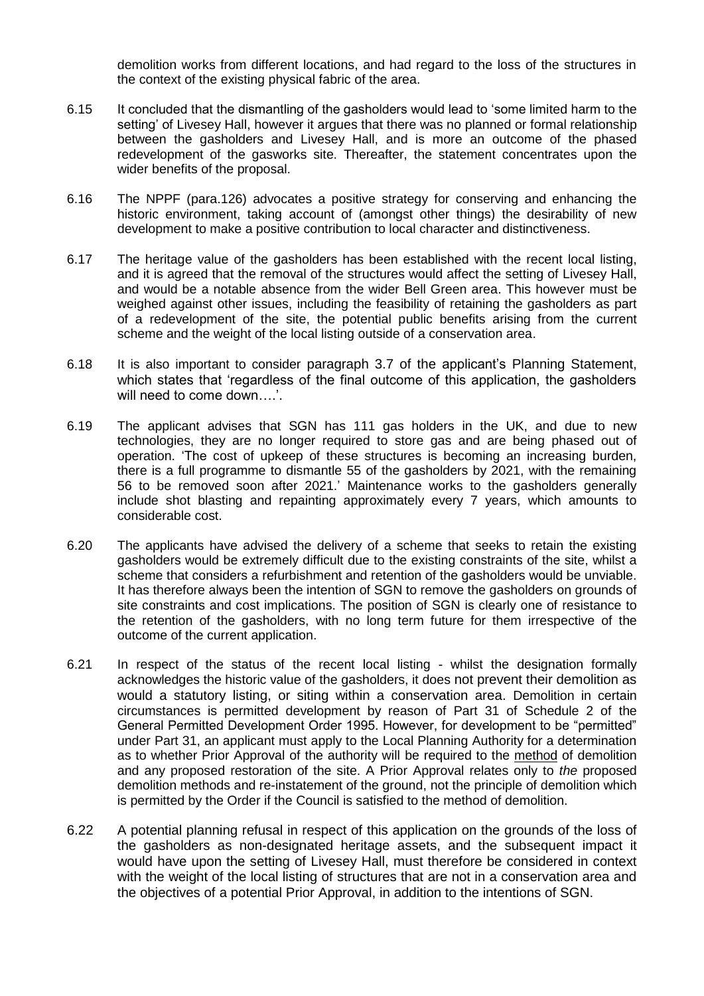demolition works from different locations, and had regard to the loss of the structures in the context of the existing physical fabric of the area.

- 6.15 It concluded that the dismantling of the gasholders would lead to 'some limited harm to the setting' of Livesey Hall, however it argues that there was no planned or formal relationship between the gasholders and Livesey Hall, and is more an outcome of the phased redevelopment of the gasworks site. Thereafter, the statement concentrates upon the wider benefits of the proposal.
- 6.16 The NPPF (para.126) advocates a positive strategy for conserving and enhancing the historic environment, taking account of (amongst other things) the desirability of new development to make a positive contribution to local character and distinctiveness.
- 6.17 The heritage value of the gasholders has been established with the recent local listing, and it is agreed that the removal of the structures would affect the setting of Livesey Hall, and would be a notable absence from the wider Bell Green area. This however must be weighed against other issues, including the feasibility of retaining the gasholders as part of a redevelopment of the site, the potential public benefits arising from the current scheme and the weight of the local listing outside of a conservation area.
- 6.18 It is also important to consider paragraph 3.7 of the applicant's Planning Statement, which states that 'regardless of the final outcome of this application, the gasholders will need to come down….'.
- 6.19 The applicant advises that SGN has 111 gas holders in the UK, and due to new technologies, they are no longer required to store gas and are being phased out of operation. 'The cost of upkeep of these structures is becoming an increasing burden, there is a full programme to dismantle 55 of the gasholders by 2021, with the remaining 56 to be removed soon after 2021.' Maintenance works to the gasholders generally include shot blasting and repainting approximately every 7 years, which amounts to considerable cost.
- 6.20 The applicants have advised the delivery of a scheme that seeks to retain the existing gasholders would be extremely difficult due to the existing constraints of the site, whilst a scheme that considers a refurbishment and retention of the gasholders would be unviable. It has therefore always been the intention of SGN to remove the gasholders on grounds of site constraints and cost implications. The position of SGN is clearly one of resistance to the retention of the gasholders, with no long term future for them irrespective of the outcome of the current application.
- 6.21 In respect of the status of the recent local listing whilst the designation formally acknowledges the historic value of the gasholders, it does not prevent their demolition as would a statutory listing, or siting within a conservation area. Demolition in certain circumstances is permitted development by reason of Part 31 of Schedule 2 of the General Permitted Development Order 1995. However, for development to be "permitted" under Part 31, an applicant must apply to the Local Planning Authority for a determination as to whether Prior Approval of the authority will be required to the method of demolition and any proposed restoration of the site. A Prior Approval relates only to *the* proposed demolition methods and re-instatement of the ground, not the principle of demolition which is permitted by the Order if the Council is satisfied to the method of demolition.
- 6.22 A potential planning refusal in respect of this application on the grounds of the loss of the gasholders as non-designated heritage assets, and the subsequent impact it would have upon the setting of Livesey Hall, must therefore be considered in context with the weight of the local listing of structures that are not in a conservation area and the objectives of a potential Prior Approval, in addition to the intentions of SGN.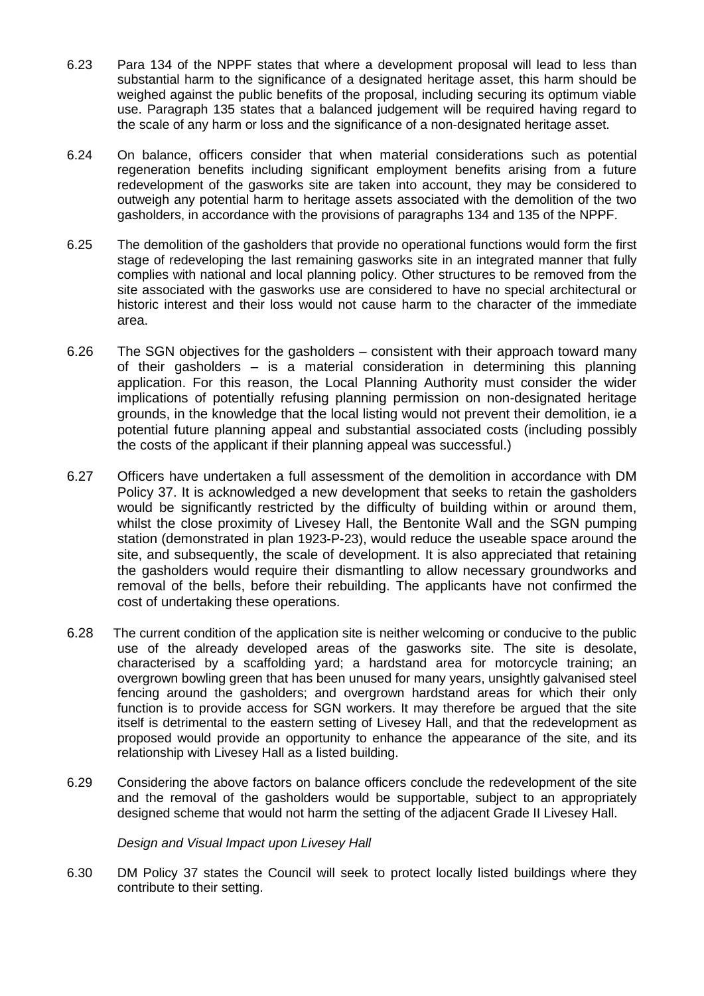- 6.23 Para 134 of the NPPF states that where a development proposal will lead to less than substantial harm to the significance of a designated heritage asset, this harm should be weighed against the public benefits of the proposal, including securing its optimum viable use. Paragraph 135 states that a balanced judgement will be required having regard to the scale of any harm or loss and the significance of a non-designated heritage asset.
- 6.24 On balance, officers consider that when material considerations such as potential regeneration benefits including significant employment benefits arising from a future redevelopment of the gasworks site are taken into account, they may be considered to outweigh any potential harm to heritage assets associated with the demolition of the two gasholders, in accordance with the provisions of paragraphs 134 and 135 of the NPPF.
- 6.25 The demolition of the gasholders that provide no operational functions would form the first stage of redeveloping the last remaining gasworks site in an integrated manner that fully complies with national and local planning policy. Other structures to be removed from the site associated with the gasworks use are considered to have no special architectural or historic interest and their loss would not cause harm to the character of the immediate area.
- 6.26 The SGN objectives for the gasholders consistent with their approach toward many of their gasholders – is a material consideration in determining this planning application. For this reason, the Local Planning Authority must consider the wider implications of potentially refusing planning permission on non-designated heritage grounds, in the knowledge that the local listing would not prevent their demolition, ie a potential future planning appeal and substantial associated costs (including possibly the costs of the applicant if their planning appeal was successful.)
- 6.27 Officers have undertaken a full assessment of the demolition in accordance with DM Policy 37. It is acknowledged a new development that seeks to retain the gasholders would be significantly restricted by the difficulty of building within or around them, whilst the close proximity of Livesey Hall, the Bentonite Wall and the SGN pumping station (demonstrated in plan 1923-P-23), would reduce the useable space around the site, and subsequently, the scale of development. It is also appreciated that retaining the gasholders would require their dismantling to allow necessary groundworks and removal of the bells, before their rebuilding. The applicants have not confirmed the cost of undertaking these operations.
- 6.28 The current condition of the application site is neither welcoming or conducive to the public use of the already developed areas of the gasworks site. The site is desolate, characterised by a scaffolding yard; a hardstand area for motorcycle training; an overgrown bowling green that has been unused for many years, unsightly galvanised steel fencing around the gasholders; and overgrown hardstand areas for which their only function is to provide access for SGN workers. It may therefore be argued that the site itself is detrimental to the eastern setting of Livesey Hall, and that the redevelopment as proposed would provide an opportunity to enhance the appearance of the site, and its relationship with Livesey Hall as a listed building.
- 6.29 Considering the above factors on balance officers conclude the redevelopment of the site and the removal of the gasholders would be supportable, subject to an appropriately designed scheme that would not harm the setting of the adjacent Grade II Livesey Hall.

*Design and Visual Impact upon Livesey Hall*

6.30 DM Policy 37 states the Council will seek to protect locally listed buildings where they contribute to their setting.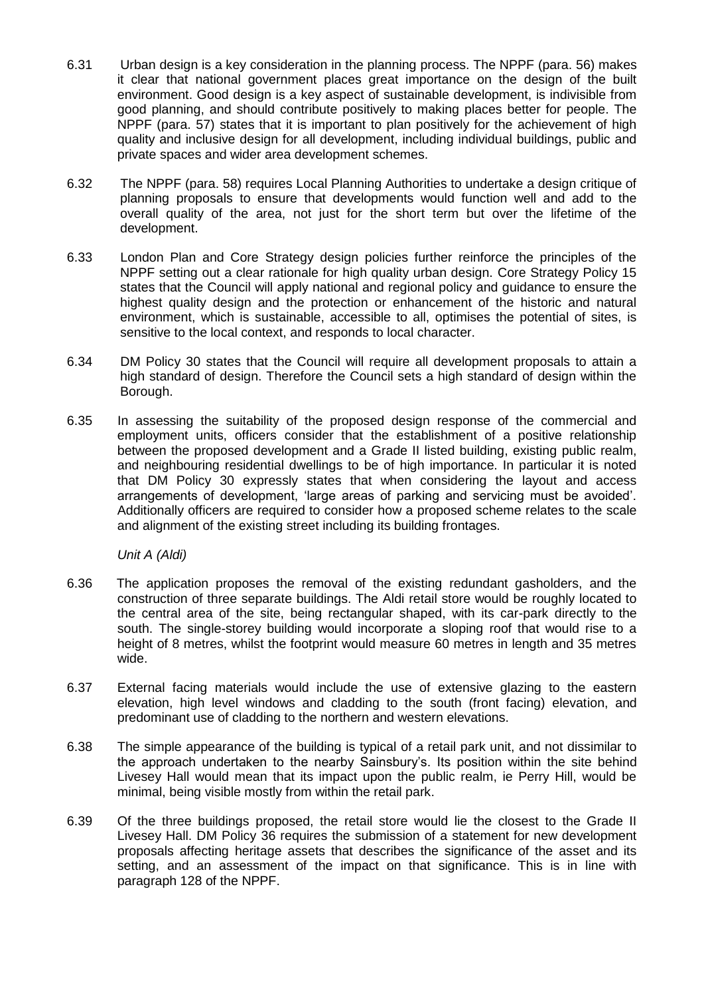- 6.31 Urban design is a key consideration in the planning process. The NPPF (para. 56) makes it clear that national government places great importance on the design of the built environment. Good design is a key aspect of sustainable development, is indivisible from good planning, and should contribute positively to making places better for people. The NPPF (para. 57) states that it is important to plan positively for the achievement of high quality and inclusive design for all development, including individual buildings, public and private spaces and wider area development schemes.
- 6.32 The NPPF (para. 58) requires Local Planning Authorities to undertake a design critique of planning proposals to ensure that developments would function well and add to the overall quality of the area, not just for the short term but over the lifetime of the development.
- 6.33 London Plan and Core Strategy design policies further reinforce the principles of the NPPF setting out a clear rationale for high quality urban design. Core Strategy Policy 15 states that the Council will apply national and regional policy and guidance to ensure the highest quality design and the protection or enhancement of the historic and natural environment, which is sustainable, accessible to all, optimises the potential of sites, is sensitive to the local context, and responds to local character.
- 6.34 DM Policy 30 states that the Council will require all development proposals to attain a high standard of design. Therefore the Council sets a high standard of design within the Borough.
- 6.35 In assessing the suitability of the proposed design response of the commercial and employment units, officers consider that the establishment of a positive relationship between the proposed development and a Grade II listed building, existing public realm, and neighbouring residential dwellings to be of high importance. In particular it is noted that DM Policy 30 expressly states that when considering the layout and access arrangements of development, 'large areas of parking and servicing must be avoided'. Additionally officers are required to consider how a proposed scheme relates to the scale and alignment of the existing street including its building frontages.

*Unit A (Aldi)*

- 6.36 The application proposes the removal of the existing redundant gasholders, and the construction of three separate buildings. The Aldi retail store would be roughly located to the central area of the site, being rectangular shaped, with its car-park directly to the south. The single-storey building would incorporate a sloping roof that would rise to a height of 8 metres, whilst the footprint would measure 60 metres in length and 35 metres wide.
- 6.37 External facing materials would include the use of extensive glazing to the eastern elevation, high level windows and cladding to the south (front facing) elevation, and predominant use of cladding to the northern and western elevations.
- 6.38 The simple appearance of the building is typical of a retail park unit, and not dissimilar to the approach undertaken to the nearby Sainsbury's. Its position within the site behind Livesey Hall would mean that its impact upon the public realm, ie Perry Hill, would be minimal, being visible mostly from within the retail park.
- 6.39 Of the three buildings proposed, the retail store would lie the closest to the Grade II Livesey Hall. DM Policy 36 requires the submission of a statement for new development proposals affecting heritage assets that describes the significance of the asset and its setting, and an assessment of the impact on that significance. This is in line with paragraph 128 of the NPPF.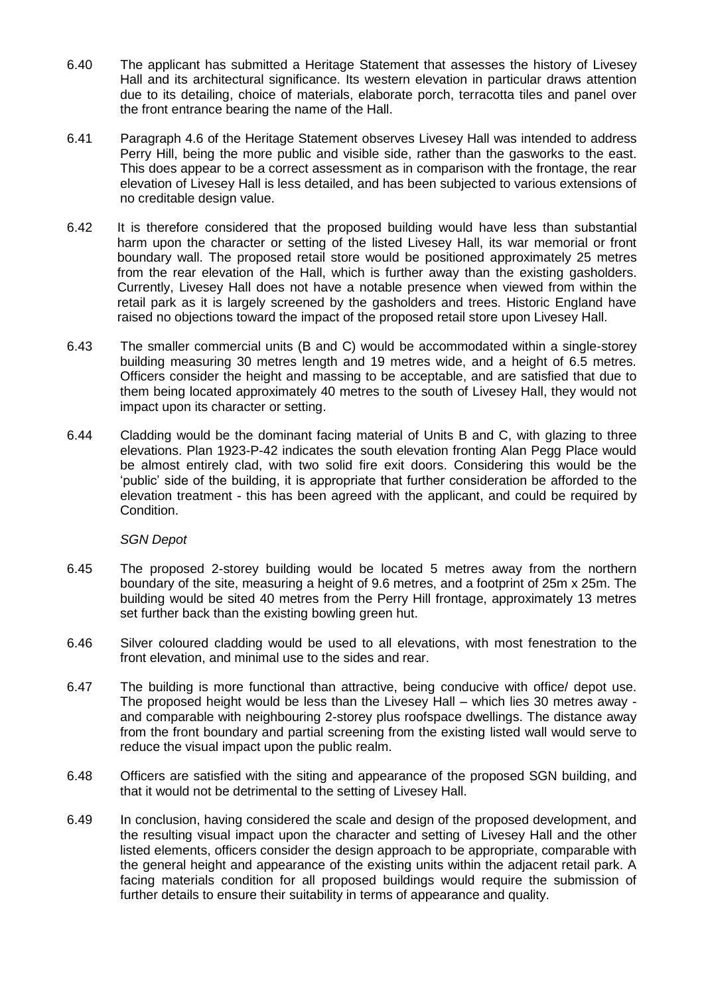- 6.40 The applicant has submitted a Heritage Statement that assesses the history of Livesey Hall and its architectural significance. Its western elevation in particular draws attention due to its detailing, choice of materials, elaborate porch, terracotta tiles and panel over the front entrance bearing the name of the Hall.
- 6.41 Paragraph 4.6 of the Heritage Statement observes Livesey Hall was intended to address Perry Hill, being the more public and visible side, rather than the gasworks to the east. This does appear to be a correct assessment as in comparison with the frontage, the rear elevation of Livesey Hall is less detailed, and has been subjected to various extensions of no creditable design value.
- 6.42 It is therefore considered that the proposed building would have less than substantial harm upon the character or setting of the listed Livesey Hall, its war memorial or front boundary wall. The proposed retail store would be positioned approximately 25 metres from the rear elevation of the Hall, which is further away than the existing gasholders. Currently, Livesey Hall does not have a notable presence when viewed from within the retail park as it is largely screened by the gasholders and trees. Historic England have raised no objections toward the impact of the proposed retail store upon Livesey Hall.
- 6.43 The smaller commercial units (B and C) would be accommodated within a single-storey building measuring 30 metres length and 19 metres wide, and a height of 6.5 metres. Officers consider the height and massing to be acceptable, and are satisfied that due to them being located approximately 40 metres to the south of Livesey Hall, they would not impact upon its character or setting.
- 6.44 Cladding would be the dominant facing material of Units B and C, with glazing to three elevations. Plan 1923-P-42 indicates the south elevation fronting Alan Pegg Place would be almost entirely clad, with two solid fire exit doors. Considering this would be the 'public' side of the building, it is appropriate that further consideration be afforded to the elevation treatment - this has been agreed with the applicant, and could be required by Condition.

## *SGN Depot*

- 6.45 The proposed 2-storey building would be located 5 metres away from the northern boundary of the site, measuring a height of 9.6 metres, and a footprint of 25m x 25m. The building would be sited 40 metres from the Perry Hill frontage, approximately 13 metres set further back than the existing bowling green hut.
- 6.46 Silver coloured cladding would be used to all elevations, with most fenestration to the front elevation, and minimal use to the sides and rear.
- 6.47 The building is more functional than attractive, being conducive with office/ depot use. The proposed height would be less than the Livesey Hall – which lies 30 metres away and comparable with neighbouring 2-storey plus roofspace dwellings. The distance away from the front boundary and partial screening from the existing listed wall would serve to reduce the visual impact upon the public realm.
- 6.48 Officers are satisfied with the siting and appearance of the proposed SGN building, and that it would not be detrimental to the setting of Livesey Hall.
- 6.49 In conclusion, having considered the scale and design of the proposed development, and the resulting visual impact upon the character and setting of Livesey Hall and the other listed elements, officers consider the design approach to be appropriate, comparable with the general height and appearance of the existing units within the adjacent retail park. A facing materials condition for all proposed buildings would require the submission of further details to ensure their suitability in terms of appearance and quality.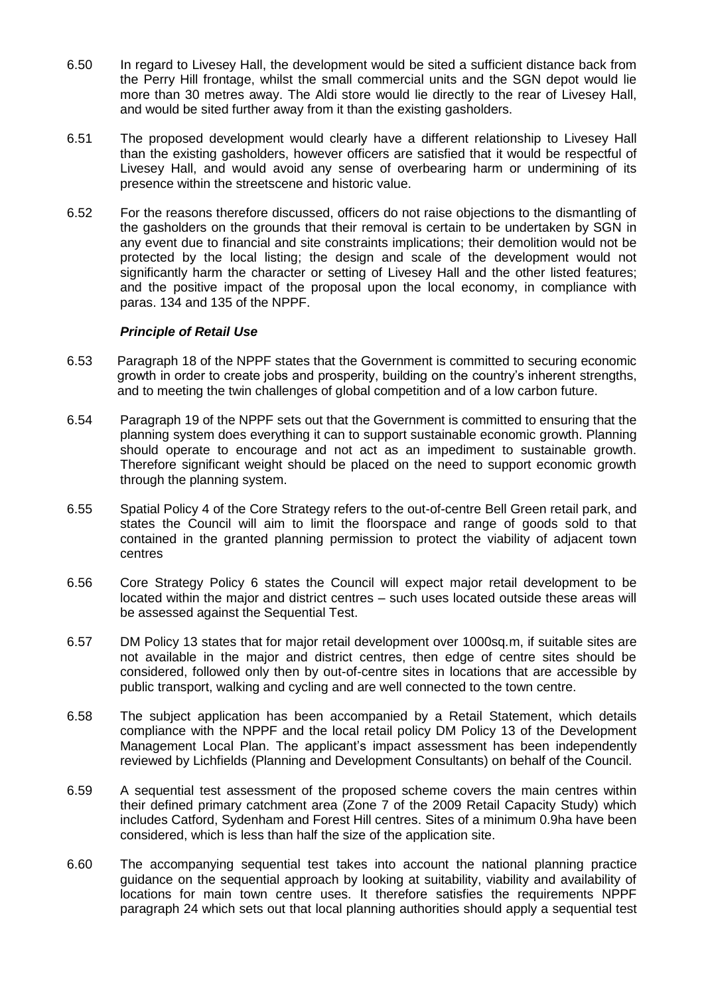- 6.50 In regard to Livesey Hall, the development would be sited a sufficient distance back from the Perry Hill frontage, whilst the small commercial units and the SGN depot would lie more than 30 metres away. The Aldi store would lie directly to the rear of Livesey Hall, and would be sited further away from it than the existing gasholders.
- 6.51 The proposed development would clearly have a different relationship to Livesey Hall than the existing gasholders, however officers are satisfied that it would be respectful of Livesey Hall, and would avoid any sense of overbearing harm or undermining of its presence within the streetscene and historic value.
- 6.52 For the reasons therefore discussed, officers do not raise objections to the dismantling of the gasholders on the grounds that their removal is certain to be undertaken by SGN in any event due to financial and site constraints implications; their demolition would not be protected by the local listing; the design and scale of the development would not significantly harm the character or setting of Livesey Hall and the other listed features; and the positive impact of the proposal upon the local economy, in compliance with paras. 134 and 135 of the NPPF.

### *Principle of Retail Use*

- 6.53 Paragraph 18 of the NPPF states that the Government is committed to securing economic growth in order to create jobs and prosperity, building on the country's inherent strengths, and to meeting the twin challenges of global competition and of a low carbon future.
- 6.54 Paragraph 19 of the NPPF sets out that the Government is committed to ensuring that the planning system does everything it can to support sustainable economic growth. Planning should operate to encourage and not act as an impediment to sustainable growth. Therefore significant weight should be placed on the need to support economic growth through the planning system.
- 6.55 Spatial Policy 4 of the Core Strategy refers to the out-of-centre Bell Green retail park, and states the Council will aim to limit the floorspace and range of goods sold to that contained in the granted planning permission to protect the viability of adjacent town centres
- 6.56 Core Strategy Policy 6 states the Council will expect major retail development to be located within the major and district centres – such uses located outside these areas will be assessed against the Sequential Test.
- 6.57 DM Policy 13 states that for major retail development over 1000sq.m, if suitable sites are not available in the major and district centres, then edge of centre sites should be considered, followed only then by out-of-centre sites in locations that are accessible by public transport, walking and cycling and are well connected to the town centre.
- 6.58 The subject application has been accompanied by a Retail Statement, which details compliance with the NPPF and the local retail policy DM Policy 13 of the Development Management Local Plan. The applicant's impact assessment has been independently reviewed by Lichfields (Planning and Development Consultants) on behalf of the Council.
- 6.59 A sequential test assessment of the proposed scheme covers the main centres within their defined primary catchment area (Zone 7 of the 2009 Retail Capacity Study) which includes Catford, Sydenham and Forest Hill centres. Sites of a minimum 0.9ha have been considered, which is less than half the size of the application site.
- 6.60 The accompanying sequential test takes into account the national planning practice guidance on the sequential approach by looking at suitability, viability and availability of locations for main town centre uses. It therefore satisfies the requirements NPPF paragraph 24 which sets out that local planning authorities should apply a sequential test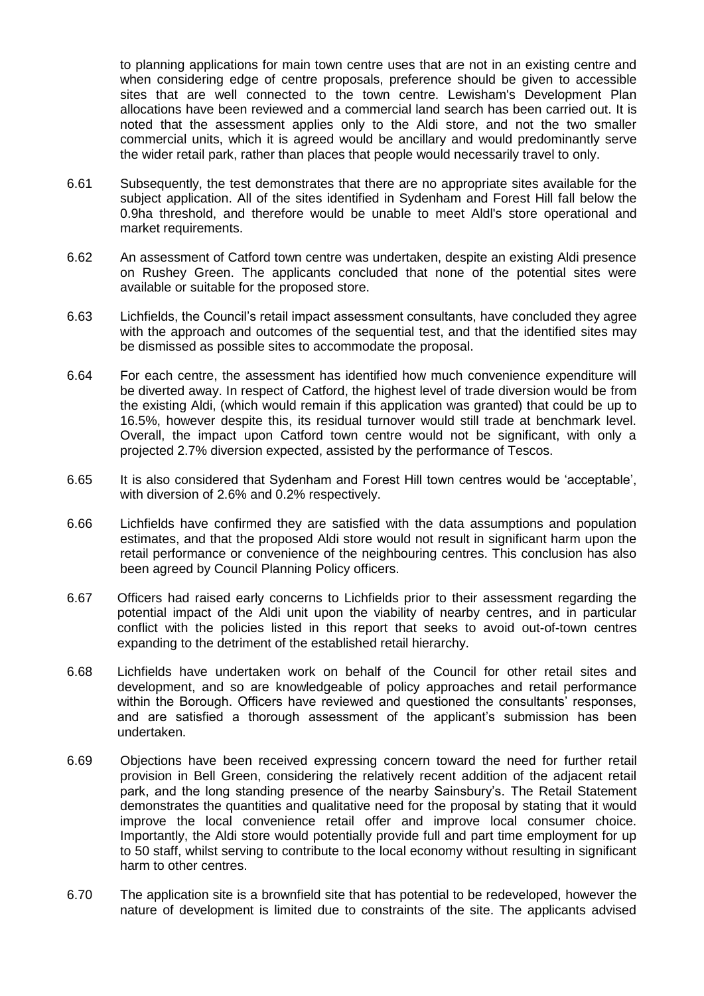to planning applications for main town centre uses that are not in an existing centre and when considering edge of centre proposals, preference should be given to accessible sites that are well connected to the town centre. Lewisham's Development Plan allocations have been reviewed and a commercial land search has been carried out. It is noted that the assessment applies only to the Aldi store, and not the two smaller commercial units, which it is agreed would be ancillary and would predominantly serve the wider retail park, rather than places that people would necessarily travel to only.

- 6.61 Subsequently, the test demonstrates that there are no appropriate sites available for the subject application. All of the sites identified in Sydenham and Forest Hill fall below the 0.9ha threshold, and therefore would be unable to meet Aldl's store operational and market requirements.
- 6.62 An assessment of Catford town centre was undertaken, despite an existing Aldi presence on Rushey Green. The applicants concluded that none of the potential sites were available or suitable for the proposed store.
- 6.63 Lichfields, the Council's retail impact assessment consultants, have concluded they agree with the approach and outcomes of the sequential test, and that the identified sites may be dismissed as possible sites to accommodate the proposal.
- 6.64 For each centre, the assessment has identified how much convenience expenditure will be diverted away. In respect of Catford, the highest level of trade diversion would be from the existing Aldi, (which would remain if this application was granted) that could be up to 16.5%, however despite this, its residual turnover would still trade at benchmark level. Overall, the impact upon Catford town centre would not be significant, with only a projected 2.7% diversion expected, assisted by the performance of Tescos.
- 6.65 It is also considered that Sydenham and Forest Hill town centres would be 'acceptable', with diversion of 2.6% and 0.2% respectively.
- 6.66 Lichfields have confirmed they are satisfied with the data assumptions and population estimates, and that the proposed Aldi store would not result in significant harm upon the retail performance or convenience of the neighbouring centres. This conclusion has also been agreed by Council Planning Policy officers.
- 6.67 Officers had raised early concerns to Lichfields prior to their assessment regarding the potential impact of the Aldi unit upon the viability of nearby centres, and in particular conflict with the policies listed in this report that seeks to avoid out-of-town centres expanding to the detriment of the established retail hierarchy.
- 6.68 Lichfields have undertaken work on behalf of the Council for other retail sites and development, and so are knowledgeable of policy approaches and retail performance within the Borough. Officers have reviewed and questioned the consultants' responses, and are satisfied a thorough assessment of the applicant's submission has been undertaken.
- 6.69 Objections have been received expressing concern toward the need for further retail provision in Bell Green, considering the relatively recent addition of the adjacent retail park, and the long standing presence of the nearby Sainsbury's. The Retail Statement demonstrates the quantities and qualitative need for the proposal by stating that it would improve the local convenience retail offer and improve local consumer choice. Importantly, the Aldi store would potentially provide full and part time employment for up to 50 staff, whilst serving to contribute to the local economy without resulting in significant harm to other centres.
- 6.70 The application site is a brownfield site that has potential to be redeveloped, however the nature of development is limited due to constraints of the site. The applicants advised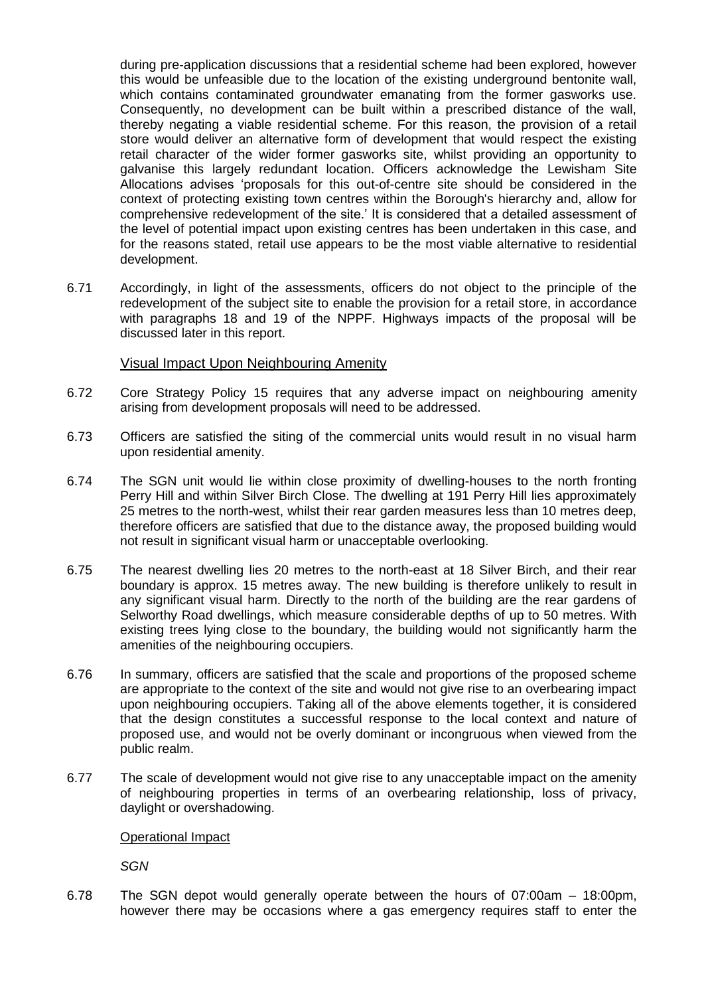during pre-application discussions that a residential scheme had been explored, however this would be unfeasible due to the location of the existing underground bentonite wall, which contains contaminated groundwater emanating from the former gasworks use. Consequently, no development can be built within a prescribed distance of the wall, thereby negating a viable residential scheme. For this reason, the provision of a retail store would deliver an alternative form of development that would respect the existing retail character of the wider former gasworks site, whilst providing an opportunity to galvanise this largely redundant location. Officers acknowledge the Lewisham Site Allocations advises 'proposals for this out-of-centre site should be considered in the context of protecting existing town centres within the Borough's hierarchy and, allow for comprehensive redevelopment of the site.' It is considered that a detailed assessment of the level of potential impact upon existing centres has been undertaken in this case, and for the reasons stated, retail use appears to be the most viable alternative to residential development.

6.71 Accordingly, in light of the assessments, officers do not object to the principle of the redevelopment of the subject site to enable the provision for a retail store, in accordance with paragraphs 18 and 19 of the NPPF. Highways impacts of the proposal will be discussed later in this report.

## Visual Impact Upon Neighbouring Amenity

- 6.72 Core Strategy Policy 15 requires that any adverse impact on neighbouring amenity arising from development proposals will need to be addressed.
- 6.73 Officers are satisfied the siting of the commercial units would result in no visual harm upon residential amenity.
- 6.74 The SGN unit would lie within close proximity of dwelling-houses to the north fronting Perry Hill and within Silver Birch Close. The dwelling at 191 Perry Hill lies approximately 25 metres to the north-west, whilst their rear garden measures less than 10 metres deep, therefore officers are satisfied that due to the distance away, the proposed building would not result in significant visual harm or unacceptable overlooking.
- 6.75 The nearest dwelling lies 20 metres to the north-east at 18 Silver Birch, and their rear boundary is approx. 15 metres away. The new building is therefore unlikely to result in any significant visual harm. Directly to the north of the building are the rear gardens of Selworthy Road dwellings, which measure considerable depths of up to 50 metres. With existing trees lying close to the boundary, the building would not significantly harm the amenities of the neighbouring occupiers.
- 6.76 In summary, officers are satisfied that the scale and proportions of the proposed scheme are appropriate to the context of the site and would not give rise to an overbearing impact upon neighbouring occupiers. Taking all of the above elements together, it is considered that the design constitutes a successful response to the local context and nature of proposed use, and would not be overly dominant or incongruous when viewed from the public realm.
- 6.77 The scale of development would not give rise to any unacceptable impact on the amenity of neighbouring properties in terms of an overbearing relationship, loss of privacy, daylight or overshadowing.

### Operational Impact

*SGN*

6.78 The SGN depot would generally operate between the hours of 07:00am – 18:00pm, however there may be occasions where a gas emergency requires staff to enter the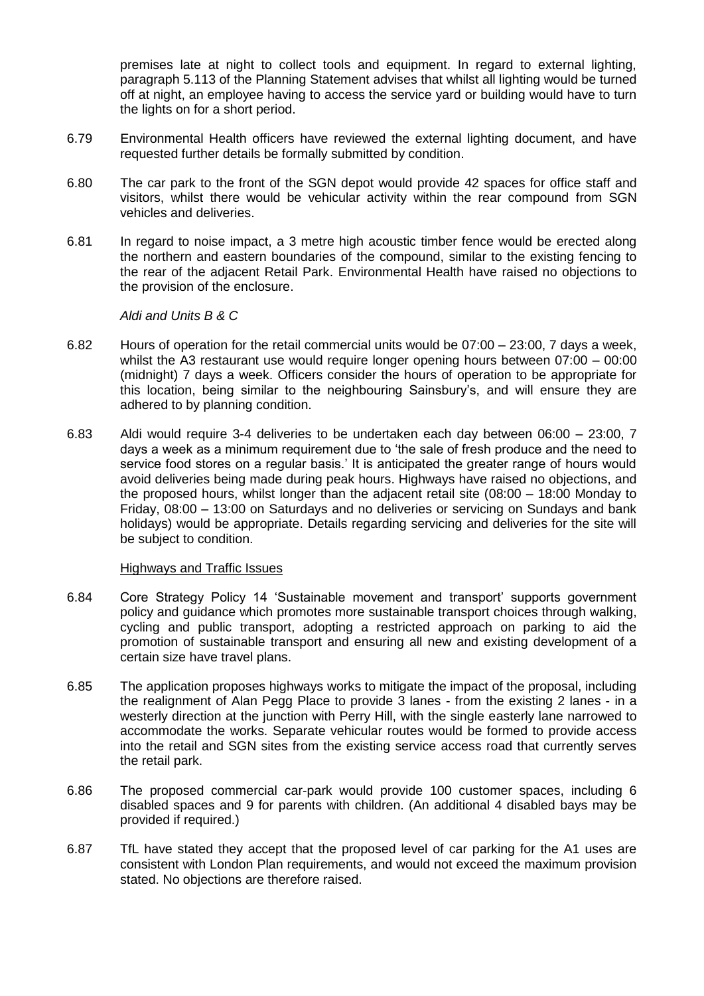premises late at night to collect tools and equipment. In regard to external lighting, paragraph 5.113 of the Planning Statement advises that whilst all lighting would be turned off at night, an employee having to access the service yard or building would have to turn the lights on for a short period.

- 6.79 Environmental Health officers have reviewed the external lighting document, and have requested further details be formally submitted by condition.
- 6.80 The car park to the front of the SGN depot would provide 42 spaces for office staff and visitors, whilst there would be vehicular activity within the rear compound from SGN vehicles and deliveries.
- 6.81 In regard to noise impact, a 3 metre high acoustic timber fence would be erected along the northern and eastern boundaries of the compound, similar to the existing fencing to the rear of the adjacent Retail Park. Environmental Health have raised no objections to the provision of the enclosure.

*Aldi and Units B & C*

- 6.82 Hours of operation for the retail commercial units would be 07:00 23:00, 7 days a week, whilst the A3 restaurant use would require longer opening hours between 07:00 – 00:00 (midnight) 7 days a week. Officers consider the hours of operation to be appropriate for this location, being similar to the neighbouring Sainsbury's, and will ensure they are adhered to by planning condition.
- 6.83 Aldi would require 3-4 deliveries to be undertaken each day between 06:00 23:00, 7 days a week as a minimum requirement due to 'the sale of fresh produce and the need to service food stores on a regular basis.' It is anticipated the greater range of hours would avoid deliveries being made during peak hours. Highways have raised no objections, and the proposed hours, whilst longer than the adjacent retail site (08:00 – 18:00 Monday to Friday, 08:00 – 13:00 on Saturdays and no deliveries or servicing on Sundays and bank holidays) would be appropriate. Details regarding servicing and deliveries for the site will be subject to condition.

### Highways and Traffic Issues

- 6.84 Core Strategy Policy 14 'Sustainable movement and transport' supports government policy and guidance which promotes more sustainable transport choices through walking, cycling and public transport, adopting a restricted approach on parking to aid the promotion of sustainable transport and ensuring all new and existing development of a certain size have travel plans.
- 6.85 The application proposes highways works to mitigate the impact of the proposal, including the realignment of Alan Pegg Place to provide 3 lanes - from the existing 2 lanes - in a westerly direction at the junction with Perry Hill, with the single easterly lane narrowed to accommodate the works. Separate vehicular routes would be formed to provide access into the retail and SGN sites from the existing service access road that currently serves the retail park.
- 6.86 The proposed commercial car-park would provide 100 customer spaces, including 6 disabled spaces and 9 for parents with children. (An additional 4 disabled bays may be provided if required.)
- 6.87 TfL have stated they accept that the proposed level of car parking for the A1 uses are consistent with London Plan requirements, and would not exceed the maximum provision stated. No objections are therefore raised.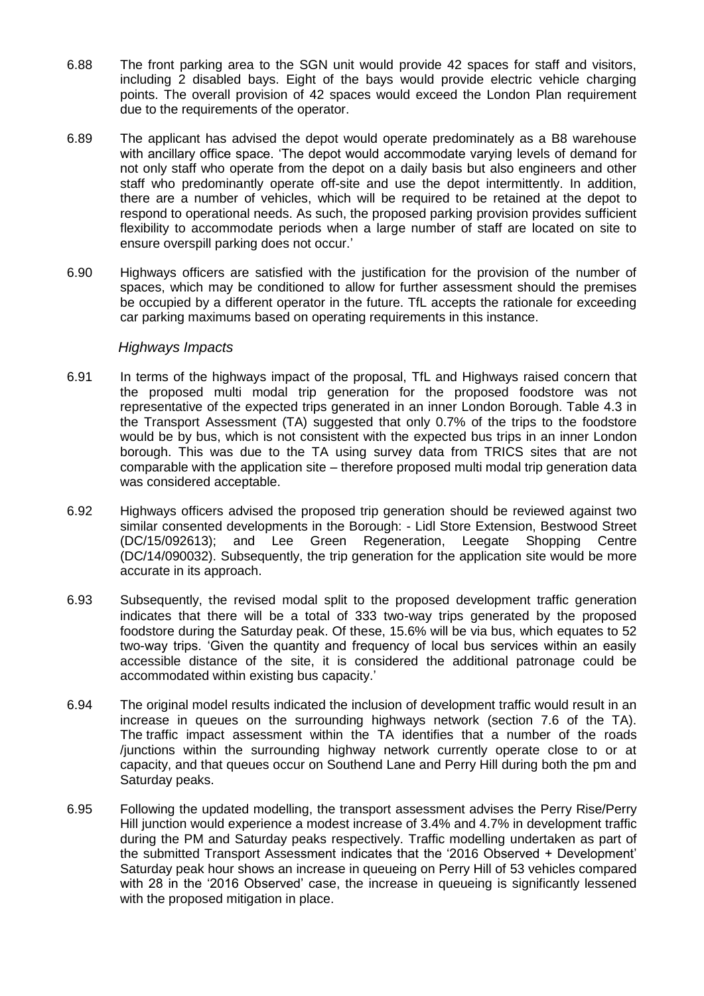- 6.88 The front parking area to the SGN unit would provide 42 spaces for staff and visitors, including 2 disabled bays. Eight of the bays would provide electric vehicle charging points. The overall provision of 42 spaces would exceed the London Plan requirement due to the requirements of the operator.
- 6.89 The applicant has advised the depot would operate predominately as a B8 warehouse with ancillary office space. 'The depot would accommodate varying levels of demand for not only staff who operate from the depot on a daily basis but also engineers and other staff who predominantly operate off-site and use the depot intermittently. In addition, there are a number of vehicles, which will be required to be retained at the depot to respond to operational needs. As such, the proposed parking provision provides sufficient flexibility to accommodate periods when a large number of staff are located on site to ensure overspill parking does not occur.'
- 6.90 Highways officers are satisfied with the justification for the provision of the number of spaces, which may be conditioned to allow for further assessment should the premises be occupied by a different operator in the future. TfL accepts the rationale for exceeding car parking maximums based on operating requirements in this instance.

## *Highways Impacts*

- 6.91 In terms of the highways impact of the proposal, TfL and Highways raised concern that the proposed multi modal trip generation for the proposed foodstore was not representative of the expected trips generated in an inner London Borough. Table 4.3 in the Transport Assessment (TA) suggested that only 0.7% of the trips to the foodstore would be by bus, which is not consistent with the expected bus trips in an inner London borough. This was due to the TA using survey data from TRICS sites that are not comparable with the application site – therefore proposed multi modal trip generation data was considered acceptable.
- 6.92 Highways officers advised the proposed trip generation should be reviewed against two similar consented developments in the Borough: - Lidl Store Extension, Bestwood Street (DC/15/092613); and Lee Green Regeneration, Leegate Shopping Centre (DC/14/090032). Subsequently, the trip generation for the application site would be more accurate in its approach.
- 6.93 Subsequently, the revised modal split to the proposed development traffic generation indicates that there will be a total of 333 two-way trips generated by the proposed foodstore during the Saturday peak. Of these, 15.6% will be via bus, which equates to 52 two-way trips. 'Given the quantity and frequency of local bus services within an easily accessible distance of the site, it is considered the additional patronage could be accommodated within existing bus capacity.'
- 6.94 The original model results indicated the inclusion of development traffic would result in an increase in queues on the surrounding highways network (section 7.6 of the TA). The traffic impact assessment within the TA identifies that a number of the roads /junctions within the surrounding highway network currently operate close to or at capacity, and that queues occur on Southend Lane and Perry Hill during both the pm and Saturday peaks.
- 6.95 Following the updated modelling, the transport assessment advises the Perry Rise/Perry Hill junction would experience a modest increase of 3.4% and 4.7% in development traffic during the PM and Saturday peaks respectively. Traffic modelling undertaken as part of the submitted Transport Assessment indicates that the '2016 Observed + Development' Saturday peak hour shows an increase in queueing on Perry Hill of 53 vehicles compared with 28 in the '2016 Observed' case, the increase in queueing is significantly lessened with the proposed mitigation in place.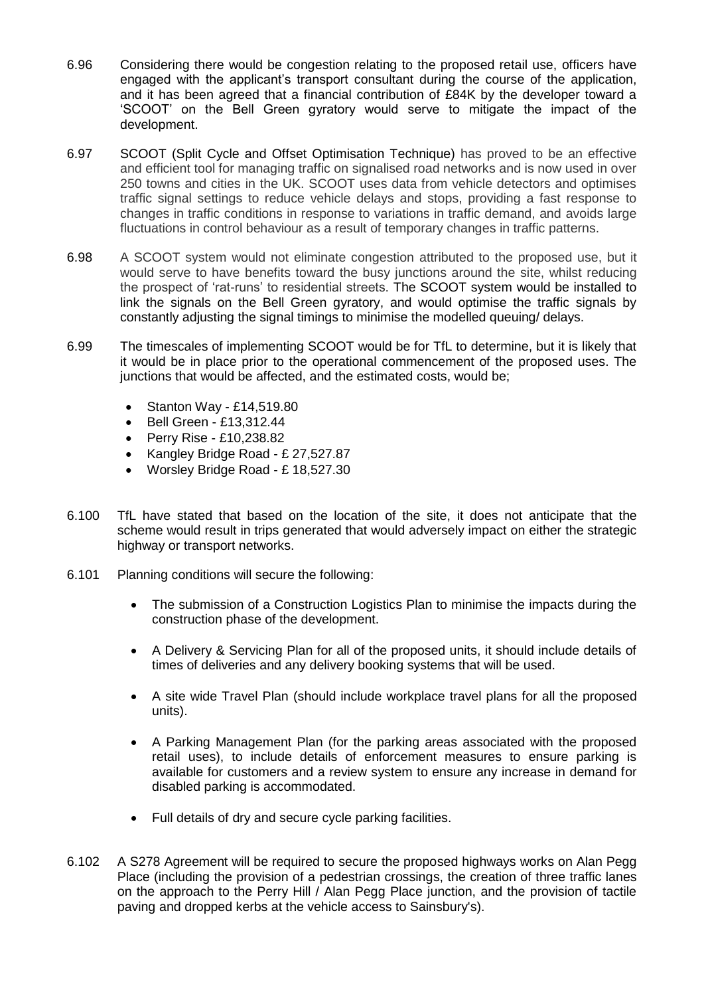- 6.96 Considering there would be congestion relating to the proposed retail use, officers have engaged with the applicant's transport consultant during the course of the application, and it has been agreed that a financial contribution of £84K by the developer toward a 'SCOOT' on the Bell Green gyratory would serve to mitigate the impact of the development.
- 6.97 SCOOT (Split Cycle and Offset Optimisation Technique) has proved to be an effective and efficient tool for managing traffic on signalised road networks and is now used in over 250 towns and cities in the UK. SCOOT uses data from vehicle detectors and optimises traffic signal settings to reduce vehicle delays and stops, providing a fast response to changes in traffic conditions in response to variations in traffic demand, and avoids large fluctuations in control behaviour as a result of temporary changes in traffic patterns.
- 6.98 A SCOOT system would not eliminate congestion attributed to the proposed use, but it would serve to have benefits toward the busy junctions around the site, whilst reducing the prospect of 'rat-runs' to residential streets. The SCOOT system would be installed to link the signals on the Bell Green gyratory, and would optimise the traffic signals by constantly adjusting the signal timings to minimise the modelled queuing/ delays.
- 6.99 The timescales of implementing SCOOT would be for TfL to determine, but it is likely that it would be in place prior to the operational commencement of the proposed uses. The junctions that would be affected, and the estimated costs, would be;
	- $\bullet$  Stanton Way £14,519.80
	- Bell Green £13,312.44
	- Perry Rise £10,238,82
	- Kangley Bridge Road £ 27,527.87
	- Worsley Bridge Road £ 18,527.30
- 6.100 TfL have stated that based on the location of the site, it does not anticipate that the scheme would result in trips generated that would adversely impact on either the strategic highway or transport networks.
- 6.101 Planning conditions will secure the following:
	- The submission of a Construction Logistics Plan to minimise the impacts during the construction phase of the development.
	- A Delivery & Servicing Plan for all of the proposed units, it should include details of times of deliveries and any delivery booking systems that will be used.
	- A site wide Travel Plan (should include workplace travel plans for all the proposed units).
	- A Parking Management Plan (for the parking areas associated with the proposed retail uses), to include details of enforcement measures to ensure parking is available for customers and a review system to ensure any increase in demand for disabled parking is accommodated.
	- Full details of dry and secure cycle parking facilities.
- 6.102 A S278 Agreement will be required to secure the proposed highways works on Alan Pegg Place (including the provision of a pedestrian crossings, the creation of three traffic lanes on the approach to the Perry Hill / Alan Pegg Place junction, and the provision of tactile paving and dropped kerbs at the vehicle access to Sainsbury's).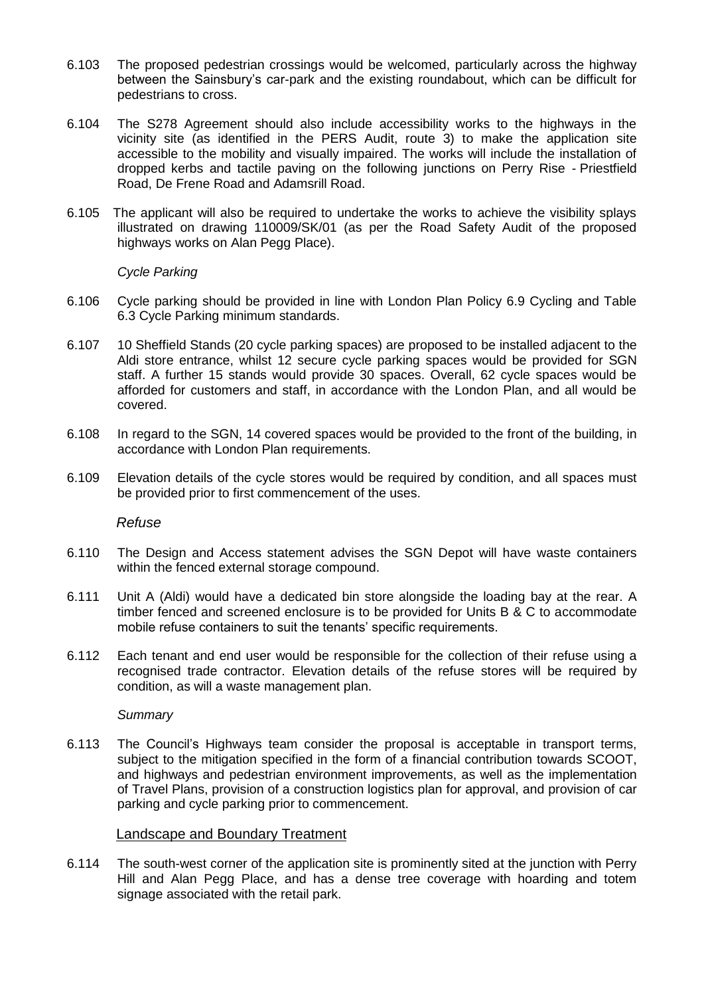- 6.103 The proposed pedestrian crossings would be welcomed, particularly across the highway between the Sainsbury's car-park and the existing roundabout, which can be difficult for pedestrians to cross.
- 6.104 The S278 Agreement should also include accessibility works to the highways in the vicinity site (as identified in the PERS Audit, route 3) to make the application site accessible to the mobility and visually impaired. The works will include the installation of dropped kerbs and tactile paving on the following junctions on Perry Rise - Priestfield Road, De Frene Road and Adamsrill Road.
- 6.105 The applicant will also be required to undertake the works to achieve the visibility splays illustrated on drawing 110009/SK/01 (as per the Road Safety Audit of the proposed highways works on Alan Pegg Place).

*Cycle Parking*

- 6.106 Cycle parking should be provided in line with London Plan Policy 6.9 Cycling and Table 6.3 Cycle Parking minimum standards.
- 6.107 10 Sheffield Stands (20 cycle parking spaces) are proposed to be installed adjacent to the Aldi store entrance, whilst 12 secure cycle parking spaces would be provided for SGN staff. A further 15 stands would provide 30 spaces. Overall, 62 cycle spaces would be afforded for customers and staff, in accordance with the London Plan, and all would be covered.
- 6.108 In regard to the SGN, 14 covered spaces would be provided to the front of the building, in accordance with London Plan requirements.
- 6.109 Elevation details of the cycle stores would be required by condition, and all spaces must be provided prior to first commencement of the uses.

*Refuse*

- 6.110 The Design and Access statement advises the SGN Depot will have waste containers within the fenced external storage compound.
- 6.111 Unit A (Aldi) would have a dedicated bin store alongside the loading bay at the rear. A timber fenced and screened enclosure is to be provided for Units B & C to accommodate mobile refuse containers to suit the tenants' specific requirements.
- 6.112 Each tenant and end user would be responsible for the collection of their refuse using a recognised trade contractor. Elevation details of the refuse stores will be required by condition, as will a waste management plan.

*Summary*

6.113 The Council's Highways team consider the proposal is acceptable in transport terms, subject to the mitigation specified in the form of a financial contribution towards SCOOT, and highways and pedestrian environment improvements, as well as the implementation of Travel Plans, provision of a construction logistics plan for approval, and provision of car parking and cycle parking prior to commencement.

### Landscape and Boundary Treatment

6.114 The south-west corner of the application site is prominently sited at the junction with Perry Hill and Alan Pegg Place, and has a dense tree coverage with hoarding and totem signage associated with the retail park.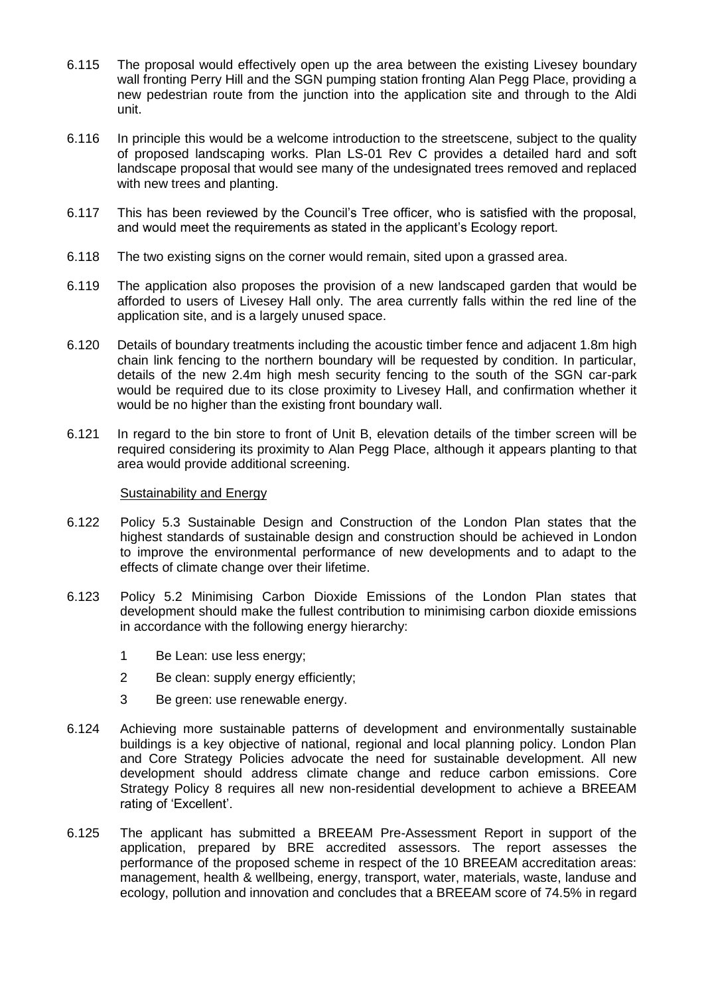- 6.115 The proposal would effectively open up the area between the existing Livesey boundary wall fronting Perry Hill and the SGN pumping station fronting Alan Pegg Place, providing a new pedestrian route from the junction into the application site and through to the Aldi unit.
- 6.116 In principle this would be a welcome introduction to the streetscene, subject to the quality of proposed landscaping works. Plan LS-01 Rev C provides a detailed hard and soft landscape proposal that would see many of the undesignated trees removed and replaced with new trees and planting.
- 6.117 This has been reviewed by the Council's Tree officer, who is satisfied with the proposal, and would meet the requirements as stated in the applicant's Ecology report.
- 6.118 The two existing signs on the corner would remain, sited upon a grassed area.
- 6.119 The application also proposes the provision of a new landscaped garden that would be afforded to users of Livesey Hall only. The area currently falls within the red line of the application site, and is a largely unused space.
- 6.120 Details of boundary treatments including the acoustic timber fence and adjacent 1.8m high chain link fencing to the northern boundary will be requested by condition. In particular, details of the new 2.4m high mesh security fencing to the south of the SGN car-park would be required due to its close proximity to Livesey Hall, and confirmation whether it would be no higher than the existing front boundary wall.
- 6.121 In regard to the bin store to front of Unit B, elevation details of the timber screen will be required considering its proximity to Alan Pegg Place, although it appears planting to that area would provide additional screening.

### Sustainability and Energy

- 6.122 Policy 5.3 Sustainable Design and Construction of the London Plan states that the highest standards of sustainable design and construction should be achieved in London to improve the environmental performance of new developments and to adapt to the effects of climate change over their lifetime.
- 6.123 Policy 5.2 Minimising Carbon Dioxide Emissions of the London Plan states that development should make the fullest contribution to minimising carbon dioxide emissions in accordance with the following energy hierarchy:
	- 1 Be Lean: use less energy;
	- 2 Be clean: supply energy efficiently;
	- 3 Be green: use renewable energy.
- 6.124 Achieving more sustainable patterns of development and environmentally sustainable buildings is a key objective of national, regional and local planning policy. London Plan and Core Strategy Policies advocate the need for sustainable development. All new development should address climate change and reduce carbon emissions. Core Strategy Policy 8 requires all new non-residential development to achieve a BREEAM rating of 'Excellent'.
- 6.125 The applicant has submitted a BREEAM Pre-Assessment Report in support of the application, prepared by BRE accredited assessors. The report assesses the performance of the proposed scheme in respect of the 10 BREEAM accreditation areas: management, health & wellbeing, energy, transport, water, materials, waste, landuse and ecology, pollution and innovation and concludes that a BREEAM score of 74.5% in regard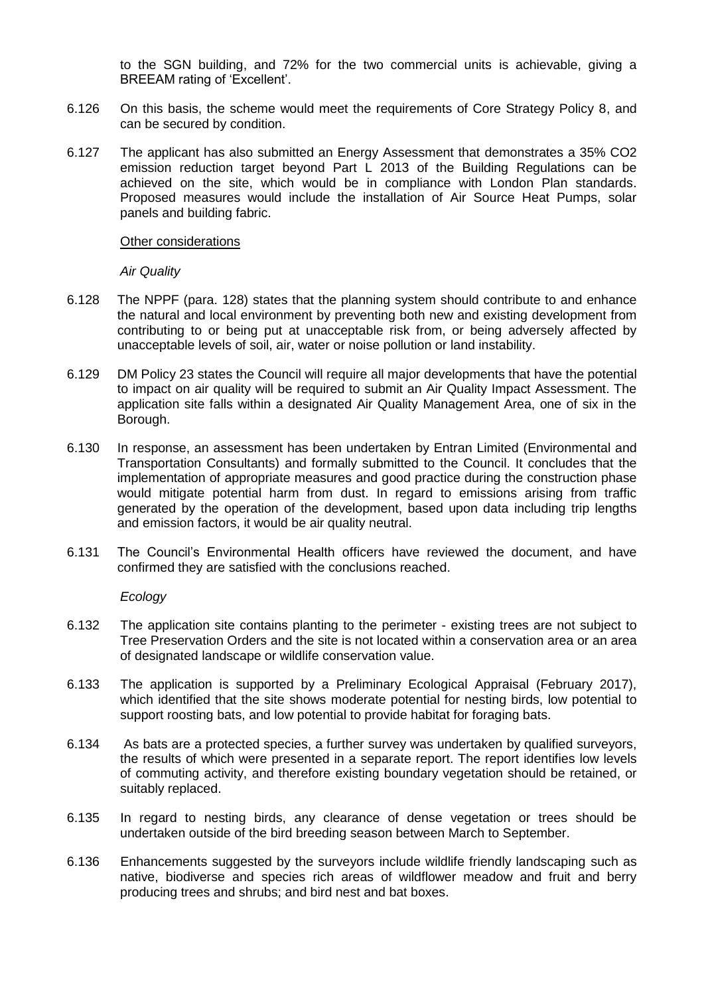to the SGN building, and 72% for the two commercial units is achievable, giving a BREEAM rating of 'Excellent'.

- 6.126 On this basis, the scheme would meet the requirements of Core Strategy Policy 8, and can be secured by condition.
- 6.127 The applicant has also submitted an Energy Assessment that demonstrates a 35% CO2 emission reduction target beyond Part L 2013 of the Building Regulations can be achieved on the site, which would be in compliance with London Plan standards. Proposed measures would include the installation of Air Source Heat Pumps, solar panels and building fabric.

### Other considerations

*Air Quality*

- 6.128 The NPPF (para. 128) states that the planning system should contribute to and enhance the natural and local environment by preventing both new and existing development from contributing to or being put at unacceptable risk from, or being adversely affected by unacceptable levels of soil, air, water or noise pollution or land instability.
- 6.129 DM Policy 23 states the Council will require all major developments that have the potential to impact on air quality will be required to submit an Air Quality Impact Assessment. The application site falls within a designated Air Quality Management Area, one of six in the Borough.
- 6.130 In response, an assessment has been undertaken by Entran Limited (Environmental and Transportation Consultants) and formally submitted to the Council. It concludes that the implementation of appropriate measures and good practice during the construction phase would mitigate potential harm from dust. In regard to emissions arising from traffic generated by the operation of the development, based upon data including trip lengths and emission factors, it would be air quality neutral.
- 6.131 The Council's Environmental Health officers have reviewed the document, and have confirmed they are satisfied with the conclusions reached.

### *Ecology*

- 6.132 The application site contains planting to the perimeter existing trees are not subject to Tree Preservation Orders and the site is not located within a conservation area or an area of designated landscape or wildlife conservation value.
- 6.133 The application is supported by a Preliminary Ecological Appraisal (February 2017), which identified that the site shows moderate potential for nesting birds, low potential to support roosting bats, and low potential to provide habitat for foraging bats.
- 6.134 As bats are a protected species, a further survey was undertaken by qualified surveyors, the results of which were presented in a separate report. The report identifies low levels of commuting activity, and therefore existing boundary vegetation should be retained, or suitably replaced.
- 6.135 In regard to nesting birds, any clearance of dense vegetation or trees should be undertaken outside of the bird breeding season between March to September.
- 6.136 Enhancements suggested by the surveyors include wildlife friendly landscaping such as native, biodiverse and species rich areas of wildflower meadow and fruit and berry producing trees and shrubs; and bird nest and bat boxes.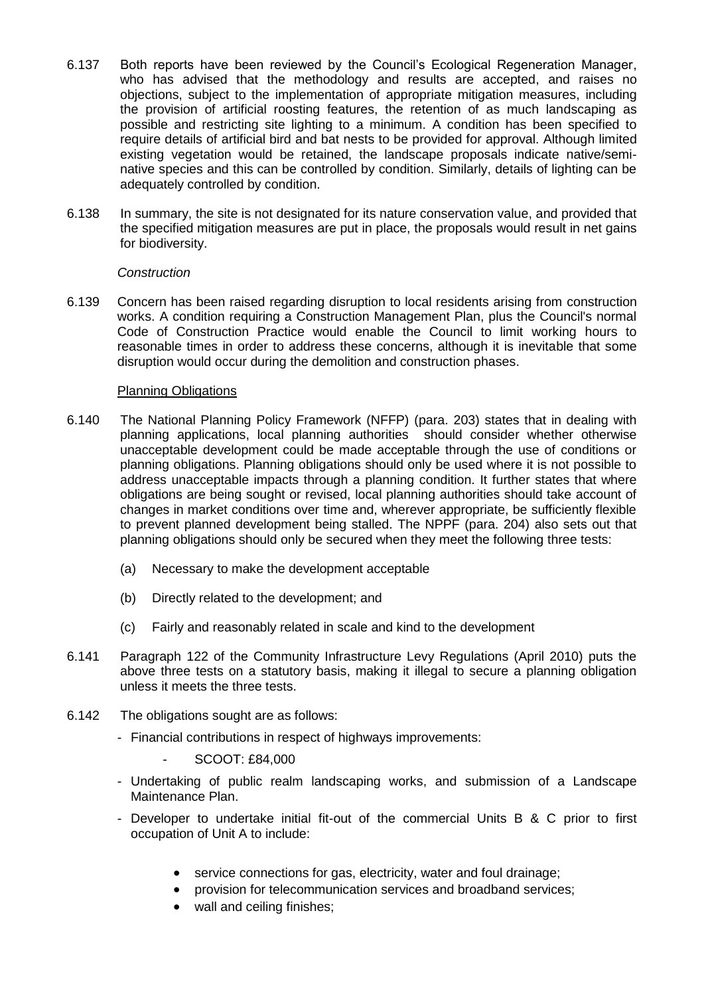- 6.137 Both reports have been reviewed by the Council's Ecological Regeneration Manager, who has advised that the methodology and results are accepted, and raises no objections, subject to the implementation of appropriate mitigation measures, including the provision of artificial roosting features, the retention of as much landscaping as possible and restricting site lighting to a minimum. A condition has been specified to require details of artificial bird and bat nests to be provided for approval. Although limited existing vegetation would be retained, the landscape proposals indicate native/seminative species and this can be controlled by condition. Similarly, details of lighting can be adequately controlled by condition.
- 6.138 In summary, the site is not designated for its nature conservation value, and provided that the specified mitigation measures are put in place, the proposals would result in net gains for biodiversity.

### *Construction*

6.139 Concern has been raised regarding disruption to local residents arising from construction works. A condition requiring a Construction Management Plan, plus the Council's normal Code of Construction Practice would enable the Council to limit working hours to reasonable times in order to address these concerns, although it is inevitable that some disruption would occur during the demolition and construction phases.

### Planning Obligations

- 6.140 The National Planning Policy Framework (NFFP) (para. 203) states that in dealing with planning applications, local planning authorities should consider whether otherwise unacceptable development could be made acceptable through the use of conditions or planning obligations. Planning obligations should only be used where it is not possible to address unacceptable impacts through a planning condition. It further states that where obligations are being sought or revised, local planning authorities should take account of changes in market conditions over time and, wherever appropriate, be sufficiently flexible to prevent planned development being stalled. The NPPF (para. 204) also sets out that planning obligations should only be secured when they meet the following three tests:
	- (a) Necessary to make the development acceptable
	- (b) Directly related to the development; and
	- (c) Fairly and reasonably related in scale and kind to the development
- 6.141 Paragraph 122 of the Community Infrastructure Levy Regulations (April 2010) puts the above three tests on a statutory basis, making it illegal to secure a planning obligation unless it meets the three tests.
- 6.142 The obligations sought are as follows:
	- Financial contributions in respect of highways improvements:
		- SCOOT: £84,000
	- Undertaking of public realm landscaping works, and submission of a Landscape Maintenance Plan.
	- Developer to undertake initial fit-out of the commercial Units B & C prior to first occupation of Unit A to include:
		- service connections for gas, electricity, water and foul drainage;
		- provision for telecommunication services and broadband services;
		- wall and ceiling finishes: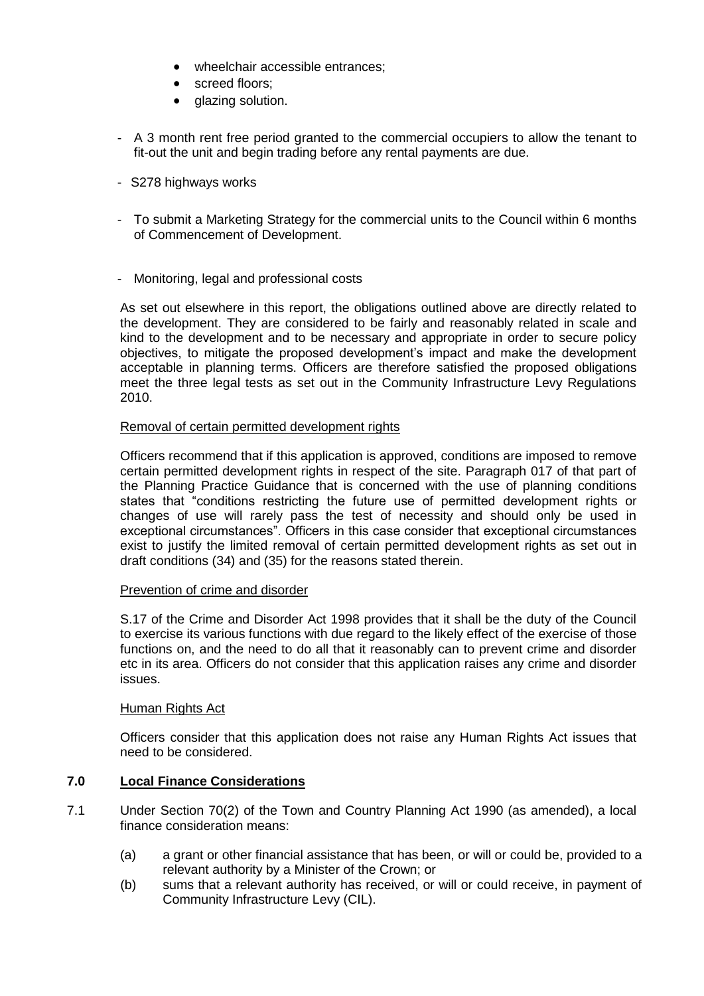- wheelchair accessible entrances;
- screed floors;
- glazing solution.
- A 3 month rent free period granted to the commercial occupiers to allow the tenant to fit-out the unit and begin trading before any rental payments are due.
- S278 highways works
- To submit a Marketing Strategy for the commercial units to the Council within 6 months of Commencement of Development.
- Monitoring, legal and professional costs

As set out elsewhere in this report, the obligations outlined above are directly related to the development. They are considered to be fairly and reasonably related in scale and kind to the development and to be necessary and appropriate in order to secure policy objectives, to mitigate the proposed development's impact and make the development acceptable in planning terms. Officers are therefore satisfied the proposed obligations meet the three legal tests as set out in the Community Infrastructure Levy Regulations 2010.

### Removal of certain permitted development rights

Officers recommend that if this application is approved, conditions are imposed to remove certain permitted development rights in respect of the site. Paragraph 017 of that part of the Planning Practice Guidance that is concerned with the use of planning conditions states that "conditions restricting the future use of permitted development rights or changes of use will rarely pass the test of necessity and should only be used in exceptional circumstances". Officers in this case consider that exceptional circumstances exist to justify the limited removal of certain permitted development rights as set out in draft conditions (34) and (35) for the reasons stated therein.

### Prevention of crime and disorder

S.17 of the Crime and Disorder Act 1998 provides that it shall be the duty of the Council to exercise its various functions with due regard to the likely effect of the exercise of those functions on, and the need to do all that it reasonably can to prevent crime and disorder etc in its area. Officers do not consider that this application raises any crime and disorder issues.

### Human Rights Act

Officers consider that this application does not raise any Human Rights Act issues that need to be considered.

### **7.0 Local Finance Considerations**

- 7.1 Under Section 70(2) of the Town and Country Planning Act 1990 (as amended), a local finance consideration means:
	- (a) a grant or other financial assistance that has been, or will or could be, provided to a relevant authority by a Minister of the Crown; or
	- (b) sums that a relevant authority has received, or will or could receive, in payment of Community Infrastructure Levy (CIL).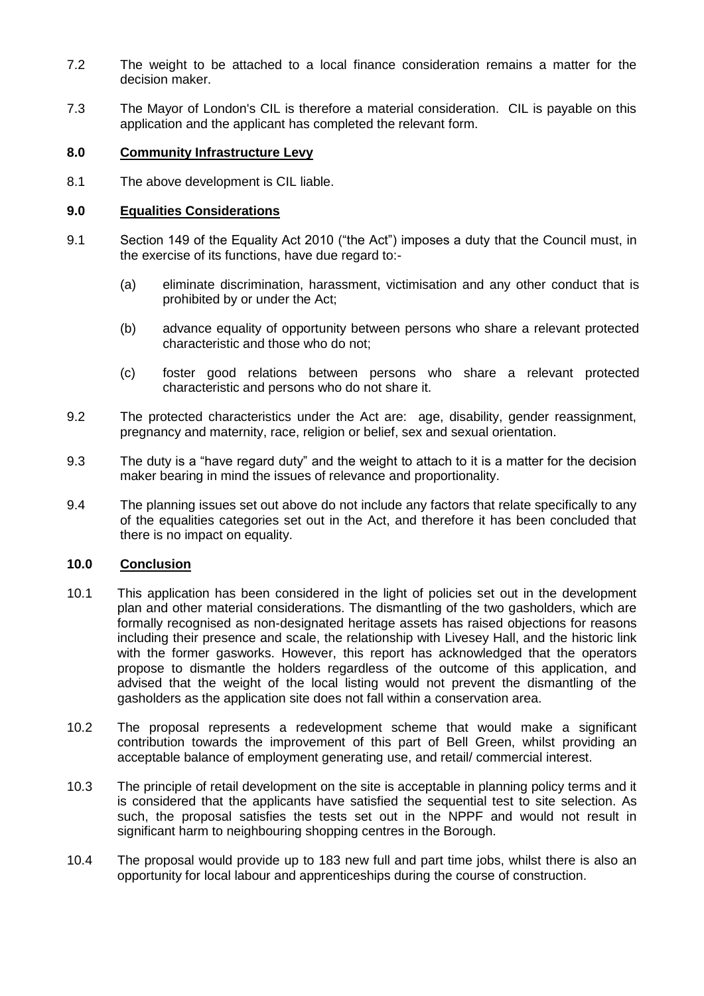- 7.2 The weight to be attached to a local finance consideration remains a matter for the decision maker.
- 7.3 The Mayor of London's CIL is therefore a material consideration. CIL is payable on this application and the applicant has completed the relevant form.

## **8.0 Community Infrastructure Levy**

8.1 The above development is CIL liable.

### **9.0 Equalities Considerations**

- 9.1 Section 149 of the Equality Act 2010 ("the Act") imposes a duty that the Council must, in the exercise of its functions, have due regard to:-
	- (a) eliminate discrimination, harassment, victimisation and any other conduct that is prohibited by or under the Act;
	- (b) advance equality of opportunity between persons who share a relevant protected characteristic and those who do not;
	- (c) foster good relations between persons who share a relevant protected characteristic and persons who do not share it.
- 9.2 The protected characteristics under the Act are: age, disability, gender reassignment, pregnancy and maternity, race, religion or belief, sex and sexual orientation.
- 9.3 The duty is a "have regard duty" and the weight to attach to it is a matter for the decision maker bearing in mind the issues of relevance and proportionality.
- 9.4 The planning issues set out above do not include any factors that relate specifically to any of the equalities categories set out in the Act, and therefore it has been concluded that there is no impact on equality.

## **10.0 Conclusion**

- 10.1 This application has been considered in the light of policies set out in the development plan and other material considerations. The dismantling of the two gasholders, which are formally recognised as non-designated heritage assets has raised objections for reasons including their presence and scale, the relationship with Livesey Hall, and the historic link with the former gasworks. However, this report has acknowledged that the operators propose to dismantle the holders regardless of the outcome of this application, and advised that the weight of the local listing would not prevent the dismantling of the gasholders as the application site does not fall within a conservation area.
- 10.2 The proposal represents a redevelopment scheme that would make a significant contribution towards the improvement of this part of Bell Green, whilst providing an acceptable balance of employment generating use, and retail/ commercial interest.
- 10.3 The principle of retail development on the site is acceptable in planning policy terms and it is considered that the applicants have satisfied the sequential test to site selection. As such, the proposal satisfies the tests set out in the NPPF and would not result in significant harm to neighbouring shopping centres in the Borough.
- 10.4 The proposal would provide up to 183 new full and part time jobs, whilst there is also an opportunity for local labour and apprenticeships during the course of construction.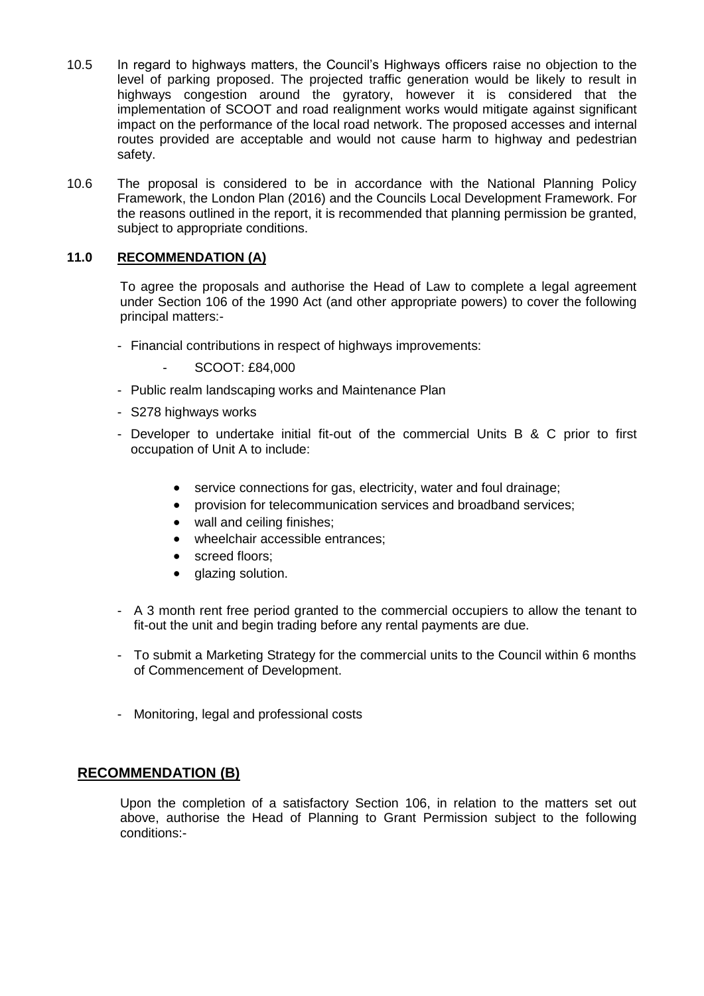- 10.5 In regard to highways matters, the Council's Highways officers raise no objection to the level of parking proposed. The projected traffic generation would be likely to result in highways congestion around the gyratory, however it is considered that the implementation of SCOOT and road realignment works would mitigate against significant impact on the performance of the local road network. The proposed accesses and internal routes provided are acceptable and would not cause harm to highway and pedestrian safety.
- 10.6 The proposal is considered to be in accordance with the National Planning Policy Framework, the London Plan (2016) and the Councils Local Development Framework. For the reasons outlined in the report, it is recommended that planning permission be granted, subject to appropriate conditions.

## **11.0 RECOMMENDATION (A)**

To agree the proposals and authorise the Head of Law to complete a legal agreement under Section 106 of the 1990 Act (and other appropriate powers) to cover the following principal matters:-

- Financial contributions in respect of highways improvements:
	- SCOOT: £84,000
- Public realm landscaping works and Maintenance Plan
- S278 highways works
- Developer to undertake initial fit-out of the commercial Units B & C prior to first occupation of Unit A to include:
	- service connections for gas, electricity, water and foul drainage:
	- provision for telecommunication services and broadband services;
	- wall and ceiling finishes;
	- wheelchair accessible entrances;
	- screed floors;
	- glazing solution.
- A 3 month rent free period granted to the commercial occupiers to allow the tenant to fit-out the unit and begin trading before any rental payments are due.
- To submit a Marketing Strategy for the commercial units to the Council within 6 months of Commencement of Development.
- Monitoring, legal and professional costs

# **RECOMMENDATION (B)**

Upon the completion of a satisfactory Section 106, in relation to the matters set out above, authorise the Head of Planning to Grant Permission subject to the following conditions:-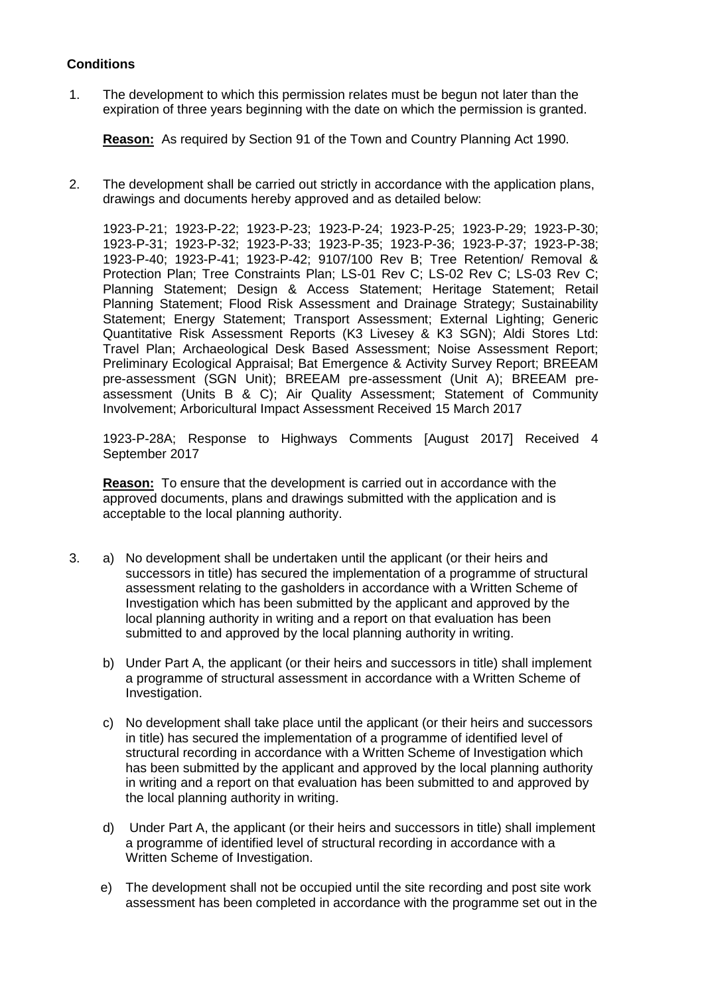## **Conditions**

1. The development to which this permission relates must be begun not later than the expiration of three years beginning with the date on which the permission is granted.

**Reason:** As required by Section 91 of the Town and Country Planning Act 1990.

2. The development shall be carried out strictly in accordance with the application plans, drawings and documents hereby approved and as detailed below:

1923-P-21; 1923-P-22; 1923-P-23; 1923-P-24; 1923-P-25; 1923-P-29; 1923-P-30; 1923-P-31; 1923-P-32; 1923-P-33; 1923-P-35; 1923-P-36; 1923-P-37; 1923-P-38; 1923-P-40; 1923-P-41; 1923-P-42; 9107/100 Rev B; Tree Retention/ Removal & Protection Plan; Tree Constraints Plan; LS-01 Rev C; LS-02 Rev C; LS-03 Rev C; Planning Statement; Design & Access Statement; Heritage Statement; Retail Planning Statement; Flood Risk Assessment and Drainage Strategy; Sustainability Statement; Energy Statement; Transport Assessment; External Lighting; Generic Quantitative Risk Assessment Reports (K3 Livesey & K3 SGN); Aldi Stores Ltd: Travel Plan; Archaeological Desk Based Assessment; Noise Assessment Report; Preliminary Ecological Appraisal; Bat Emergence & Activity Survey Report; BREEAM pre-assessment (SGN Unit); BREEAM pre-assessment (Unit A); BREEAM preassessment (Units B & C); Air Quality Assessment; Statement of Community Involvement; Arboricultural Impact Assessment Received 15 March 2017

1923-P-28A; Response to Highways Comments [August 2017] Received 4 September 2017

**Reason:** To ensure that the development is carried out in accordance with the approved documents, plans and drawings submitted with the application and is acceptable to the local planning authority.

- 3. a) No development shall be undertaken until the applicant (or their heirs and successors in title) has secured the implementation of a programme of structural assessment relating to the gasholders in accordance with a Written Scheme of Investigation which has been submitted by the applicant and approved by the local planning authority in writing and a report on that evaluation has been submitted to and approved by the local planning authority in writing.
	- b) Under Part A, the applicant (or their heirs and successors in title) shall implement a programme of structural assessment in accordance with a Written Scheme of Investigation.
	- c) No development shall take place until the applicant (or their heirs and successors in title) has secured the implementation of a programme of identified level of structural recording in accordance with a Written Scheme of Investigation which has been submitted by the applicant and approved by the local planning authority in writing and a report on that evaluation has been submitted to and approved by the local planning authority in writing.
	- d) Under Part A, the applicant (or their heirs and successors in title) shall implement a programme of identified level of structural recording in accordance with a Written Scheme of Investigation.
	- e) The development shall not be occupied until the site recording and post site work assessment has been completed in accordance with the programme set out in the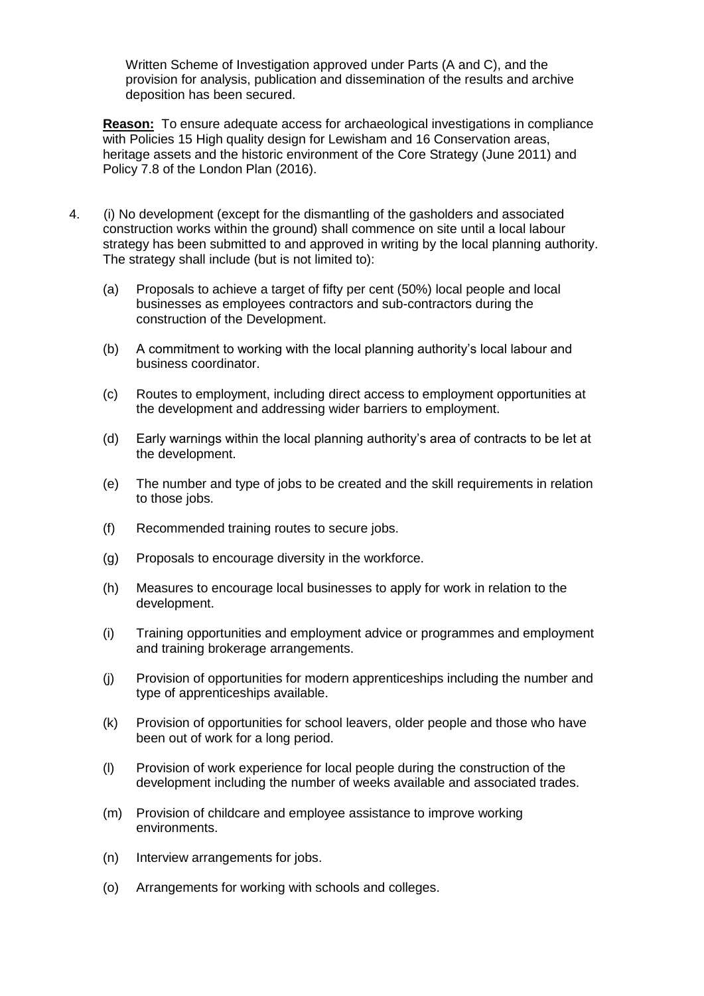Written Scheme of Investigation approved under Parts (A and C), and the provision for analysis, publication and dissemination of the results and archive deposition has been secured.

**Reason:** To ensure adequate access for archaeological investigations in compliance with Policies 15 High quality design for Lewisham and 16 Conservation areas. heritage assets and the historic environment of the Core Strategy (June 2011) and Policy 7.8 of the London Plan (2016).

- 4. (i) No development (except for the dismantling of the gasholders and associated construction works within the ground) shall commence on site until a local labour strategy has been submitted to and approved in writing by the local planning authority. The strategy shall include (but is not limited to):
	- (a) Proposals to achieve a target of fifty per cent (50%) local people and local businesses as employees contractors and sub-contractors during the construction of the Development.
	- (b) A commitment to working with the local planning authority's local labour and business coordinator.
	- (c) Routes to employment, including direct access to employment opportunities at the development and addressing wider barriers to employment.
	- (d) Early warnings within the local planning authority's area of contracts to be let at the development.
	- (e) The number and type of jobs to be created and the skill requirements in relation to those jobs.
	- (f) Recommended training routes to secure jobs.
	- (g) Proposals to encourage diversity in the workforce.
	- (h) Measures to encourage local businesses to apply for work in relation to the development.
	- (i) Training opportunities and employment advice or programmes and employment and training brokerage arrangements.
	- (j) Provision of opportunities for modern apprenticeships including the number and type of apprenticeships available.
	- (k) Provision of opportunities for school leavers, older people and those who have been out of work for a long period.
	- (l) Provision of work experience for local people during the construction of the development including the number of weeks available and associated trades.
	- (m) Provision of childcare and employee assistance to improve working environments.
	- (n) Interview arrangements for jobs.
	- (o) Arrangements for working with schools and colleges.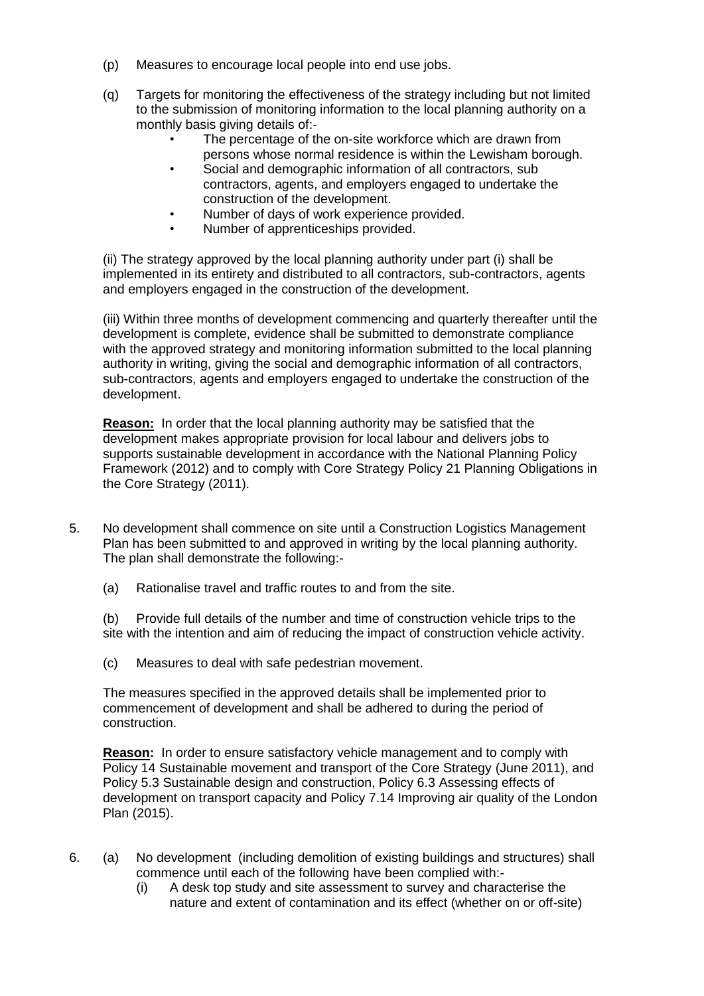- (p) Measures to encourage local people into end use jobs.
- (q) Targets for monitoring the effectiveness of the strategy including but not limited to the submission of monitoring information to the local planning authority on a monthly basis giving details of:-
	- The percentage of the on-site workforce which are drawn from persons whose normal residence is within the Lewisham borough.
	- Social and demographic information of all contractors, sub contractors, agents, and employers engaged to undertake the construction of the development.
	- Number of days of work experience provided.
	- Number of apprenticeships provided.

(ii) The strategy approved by the local planning authority under part (i) shall be implemented in its entirety and distributed to all contractors, sub-contractors, agents and employers engaged in the construction of the development.

(iii) Within three months of development commencing and quarterly thereafter until the development is complete, evidence shall be submitted to demonstrate compliance with the approved strategy and monitoring information submitted to the local planning authority in writing, giving the social and demographic information of all contractors, sub-contractors, agents and employers engaged to undertake the construction of the development.

**Reason:** In order that the local planning authority may be satisfied that the development makes appropriate provision for local labour and delivers jobs to supports sustainable development in accordance with the National Planning Policy Framework (2012) and to comply with Core Strategy Policy 21 Planning Obligations in the Core Strategy (2011).

- 5. No development shall commence on site until a Construction Logistics Management Plan has been submitted to and approved in writing by the local planning authority. The plan shall demonstrate the following:-
	- (a) Rationalise travel and traffic routes to and from the site.

(b) Provide full details of the number and time of construction vehicle trips to the site with the intention and aim of reducing the impact of construction vehicle activity.

(c) Measures to deal with safe pedestrian movement.

The measures specified in the approved details shall be implemented prior to commencement of development and shall be adhered to during the period of construction.

**Reason:** In order to ensure satisfactory vehicle management and to comply with Policy 14 Sustainable movement and transport of the Core Strategy (June 2011), and Policy 5.3 Sustainable design and construction, Policy 6.3 Assessing effects of development on transport capacity and Policy 7.14 Improving air quality of the London Plan (2015).

- 6. (a) No development (including demolition of existing buildings and structures) shall commence until each of the following have been complied with:-
	- (i) A desk top study and site assessment to survey and characterise the nature and extent of contamination and its effect (whether on or off-site)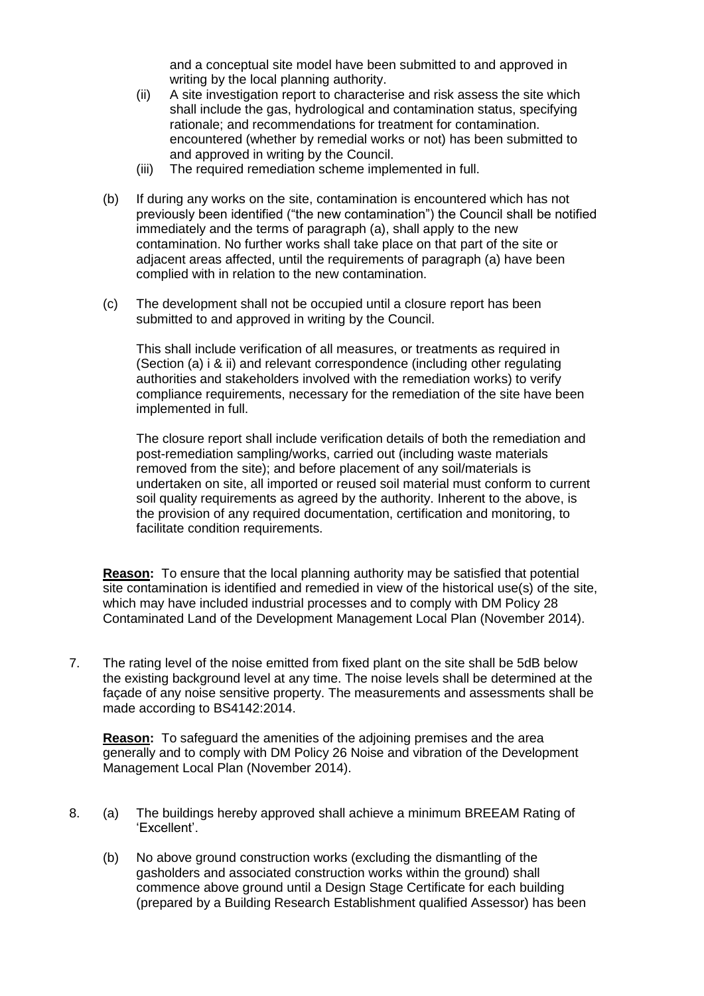and a conceptual site model have been submitted to and approved in writing by the local planning authority.

- (ii) A site investigation report to characterise and risk assess the site which shall include the gas, hydrological and contamination status, specifying rationale; and recommendations for treatment for contamination. encountered (whether by remedial works or not) has been submitted to and approved in writing by the Council.
- (iii) The required remediation scheme implemented in full.
- (b) If during any works on the site, contamination is encountered which has not previously been identified ("the new contamination") the Council shall be notified immediately and the terms of paragraph (a), shall apply to the new contamination. No further works shall take place on that part of the site or adjacent areas affected, until the requirements of paragraph (a) have been complied with in relation to the new contamination.
- (c) The development shall not be occupied until a closure report has been submitted to and approved in writing by the Council.

This shall include verification of all measures, or treatments as required in (Section (a) i & ii) and relevant correspondence (including other regulating authorities and stakeholders involved with the remediation works) to verify compliance requirements, necessary for the remediation of the site have been implemented in full.

The closure report shall include verification details of both the remediation and post-remediation sampling/works, carried out (including waste materials removed from the site); and before placement of any soil/materials is undertaken on site, all imported or reused soil material must conform to current soil quality requirements as agreed by the authority. Inherent to the above, is the provision of any required documentation, certification and monitoring, to facilitate condition requirements.

**Reason:** To ensure that the local planning authority may be satisfied that potential site contamination is identified and remedied in view of the historical use(s) of the site, which may have included industrial processes and to comply with DM Policy 28 Contaminated Land of the Development Management Local Plan (November 2014).

7. The rating level of the noise emitted from fixed plant on the site shall be 5dB below the existing background level at any time. The noise levels shall be determined at the façade of any noise sensitive property. The measurements and assessments shall be made according to BS4142:2014.

**Reason:** To safeguard the amenities of the adjoining premises and the area generally and to comply with DM Policy 26 Noise and vibration of the Development Management Local Plan (November 2014).

- 8. (a) The buildings hereby approved shall achieve a minimum BREEAM Rating of 'Excellent'.
	- (b) No above ground construction works (excluding the dismantling of the gasholders and associated construction works within the ground) shall commence above ground until a Design Stage Certificate for each building (prepared by a Building Research Establishment qualified Assessor) has been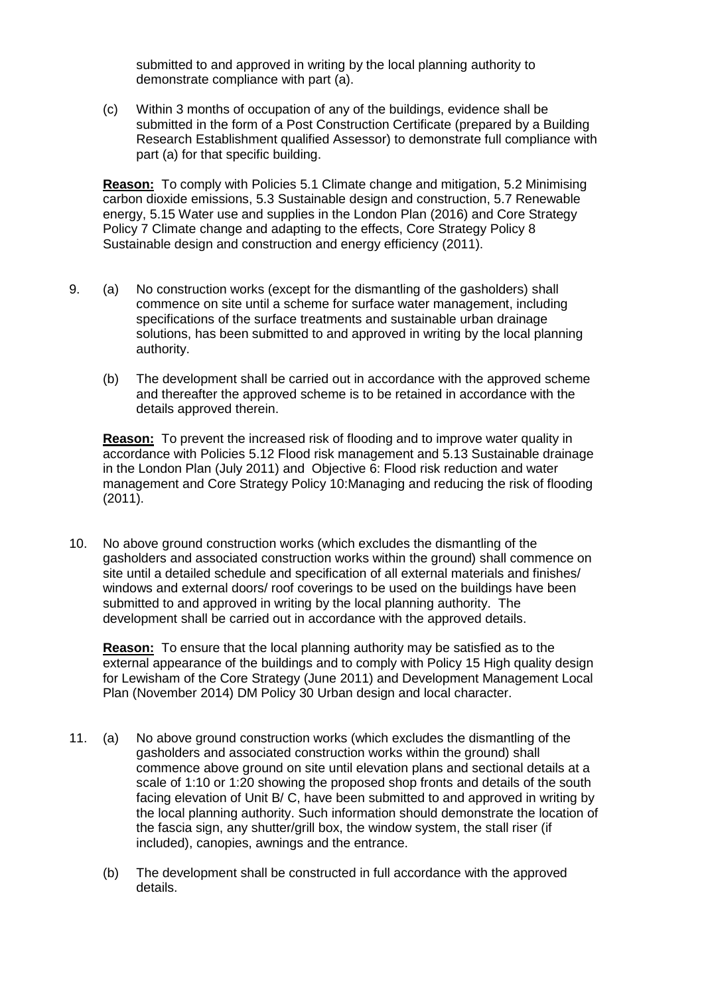submitted to and approved in writing by the local planning authority to demonstrate compliance with part (a).

(c) Within 3 months of occupation of any of the buildings, evidence shall be submitted in the form of a Post Construction Certificate (prepared by a Building Research Establishment qualified Assessor) to demonstrate full compliance with part (a) for that specific building.

**Reason:** To comply with Policies 5.1 Climate change and mitigation, 5.2 Minimising carbon dioxide emissions, 5.3 Sustainable design and construction, 5.7 Renewable energy, 5.15 Water use and supplies in the London Plan (2016) and Core Strategy Policy 7 Climate change and adapting to the effects, Core Strategy Policy 8 Sustainable design and construction and energy efficiency (2011).

- 9. (a) No construction works (except for the dismantling of the gasholders) shall commence on site until a scheme for surface water management, including specifications of the surface treatments and sustainable urban drainage solutions, has been submitted to and approved in writing by the local planning authority.
	- (b) The development shall be carried out in accordance with the approved scheme and thereafter the approved scheme is to be retained in accordance with the details approved therein.

**Reason:** To prevent the increased risk of flooding and to improve water quality in accordance with Policies 5.12 Flood risk management and 5.13 Sustainable drainage in the London Plan (July 2011) and Objective 6: Flood risk reduction and water management and Core Strategy Policy 10:Managing and reducing the risk of flooding  $(2011)$ .

10. No above ground construction works (which excludes the dismantling of the gasholders and associated construction works within the ground) shall commence on site until a detailed schedule and specification of all external materials and finishes/ windows and external doors/ roof coverings to be used on the buildings have been submitted to and approved in writing by the local planning authority. The development shall be carried out in accordance with the approved details.

**Reason:** To ensure that the local planning authority may be satisfied as to the external appearance of the buildings and to comply with Policy 15 High quality design for Lewisham of the Core Strategy (June 2011) and Development Management Local Plan (November 2014) DM Policy 30 Urban design and local character.

- 11. (a) No above ground construction works (which excludes the dismantling of the gasholders and associated construction works within the ground) shall commence above ground on site until elevation plans and sectional details at a scale of 1:10 or 1:20 showing the proposed shop fronts and details of the south facing elevation of Unit B/ C, have been submitted to and approved in writing by the local planning authority. Such information should demonstrate the location of the fascia sign, any shutter/grill box, the window system, the stall riser (if included), canopies, awnings and the entrance.
	- (b) The development shall be constructed in full accordance with the approved details.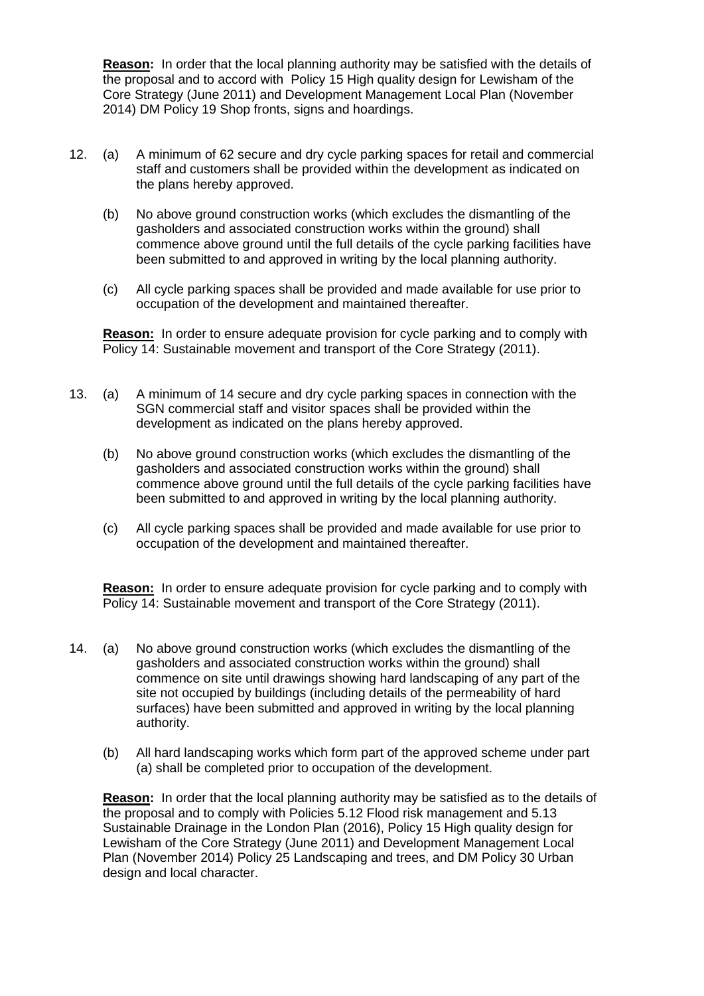**Reason:** In order that the local planning authority may be satisfied with the details of the proposal and to accord with Policy 15 High quality design for Lewisham of the Core Strategy (June 2011) and Development Management Local Plan (November 2014) DM Policy 19 Shop fronts, signs and hoardings.

- 12. (a) A minimum of 62 secure and dry cycle parking spaces for retail and commercial staff and customers shall be provided within the development as indicated on the plans hereby approved.
	- (b) No above ground construction works (which excludes the dismantling of the gasholders and associated construction works within the ground) shall commence above ground until the full details of the cycle parking facilities have been submitted to and approved in writing by the local planning authority.
	- (c) All cycle parking spaces shall be provided and made available for use prior to occupation of the development and maintained thereafter.

**Reason:** In order to ensure adequate provision for cycle parking and to comply with Policy 14: Sustainable movement and transport of the Core Strategy (2011).

- 13. (a) A minimum of 14 secure and dry cycle parking spaces in connection with the SGN commercial staff and visitor spaces shall be provided within the development as indicated on the plans hereby approved.
	- (b) No above ground construction works (which excludes the dismantling of the gasholders and associated construction works within the ground) shall commence above ground until the full details of the cycle parking facilities have been submitted to and approved in writing by the local planning authority.
	- (c) All cycle parking spaces shall be provided and made available for use prior to occupation of the development and maintained thereafter.

**Reason:** In order to ensure adequate provision for cycle parking and to comply with Policy 14: Sustainable movement and transport of the Core Strategy (2011).

- 14. (a) No above ground construction works (which excludes the dismantling of the gasholders and associated construction works within the ground) shall commence on site until drawings showing hard landscaping of any part of the site not occupied by buildings (including details of the permeability of hard surfaces) have been submitted and approved in writing by the local planning authority.
	- (b) All hard landscaping works which form part of the approved scheme under part (a) shall be completed prior to occupation of the development.

**Reason:** In order that the local planning authority may be satisfied as to the details of the proposal and to comply with Policies 5.12 Flood risk management and 5.13 Sustainable Drainage in the London Plan (2016), Policy 15 High quality design for Lewisham of the Core Strategy (June 2011) and Development Management Local Plan (November 2014) Policy 25 Landscaping and trees, and DM Policy 30 Urban design and local character.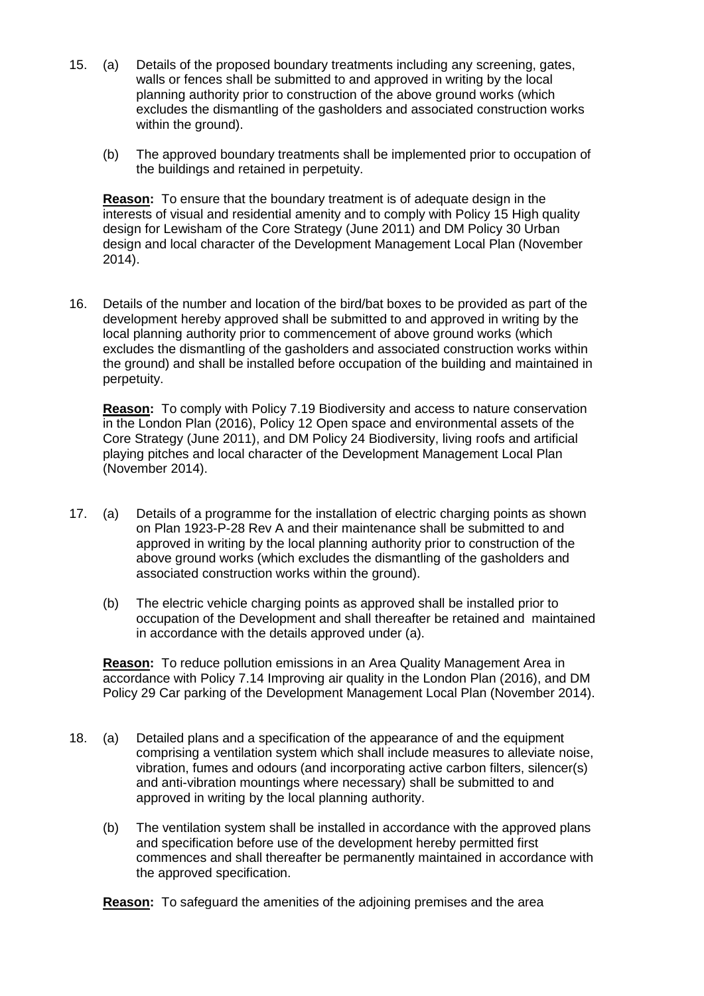- 15. (a) Details of the proposed boundary treatments including any screening, gates, walls or fences shall be submitted to and approved in writing by the local planning authority prior to construction of the above ground works (which excludes the dismantling of the gasholders and associated construction works within the ground).
	- (b) The approved boundary treatments shall be implemented prior to occupation of the buildings and retained in perpetuity.

**Reason:** To ensure that the boundary treatment is of adequate design in the interests of visual and residential amenity and to comply with Policy 15 High quality design for Lewisham of the Core Strategy (June 2011) and DM Policy 30 Urban design and local character of the Development Management Local Plan (November 2014).

16. Details of the number and location of the bird/bat boxes to be provided as part of the development hereby approved shall be submitted to and approved in writing by the local planning authority prior to commencement of above ground works (which excludes the dismantling of the gasholders and associated construction works within the ground) and shall be installed before occupation of the building and maintained in perpetuity.

**Reason:** To comply with Policy 7.19 Biodiversity and access to nature conservation in the London Plan (2016), Policy 12 Open space and environmental assets of the Core Strategy (June 2011), and DM Policy 24 Biodiversity, living roofs and artificial playing pitches and local character of the Development Management Local Plan (November 2014).

- 17. (a) Details of a programme for the installation of electric charging points as shown on Plan 1923-P-28 Rev A and their maintenance shall be submitted to and approved in writing by the local planning authority prior to construction of the above ground works (which excludes the dismantling of the gasholders and associated construction works within the ground).
	- (b) The electric vehicle charging points as approved shall be installed prior to occupation of the Development and shall thereafter be retained and maintained in accordance with the details approved under (a).

**Reason:** To reduce pollution emissions in an Area Quality Management Area in accordance with Policy 7.14 Improving air quality in the London Plan (2016), and DM Policy 29 Car parking of the Development Management Local Plan (November 2014).

- 18. (a) Detailed plans and a specification of the appearance of and the equipment comprising a ventilation system which shall include measures to alleviate noise, vibration, fumes and odours (and incorporating active carbon filters, silencer(s) and anti-vibration mountings where necessary) shall be submitted to and approved in writing by the local planning authority.
	- (b) The ventilation system shall be installed in accordance with the approved plans and specification before use of the development hereby permitted first commences and shall thereafter be permanently maintained in accordance with the approved specification.

**Reason:** To safeguard the amenities of the adjoining premises and the area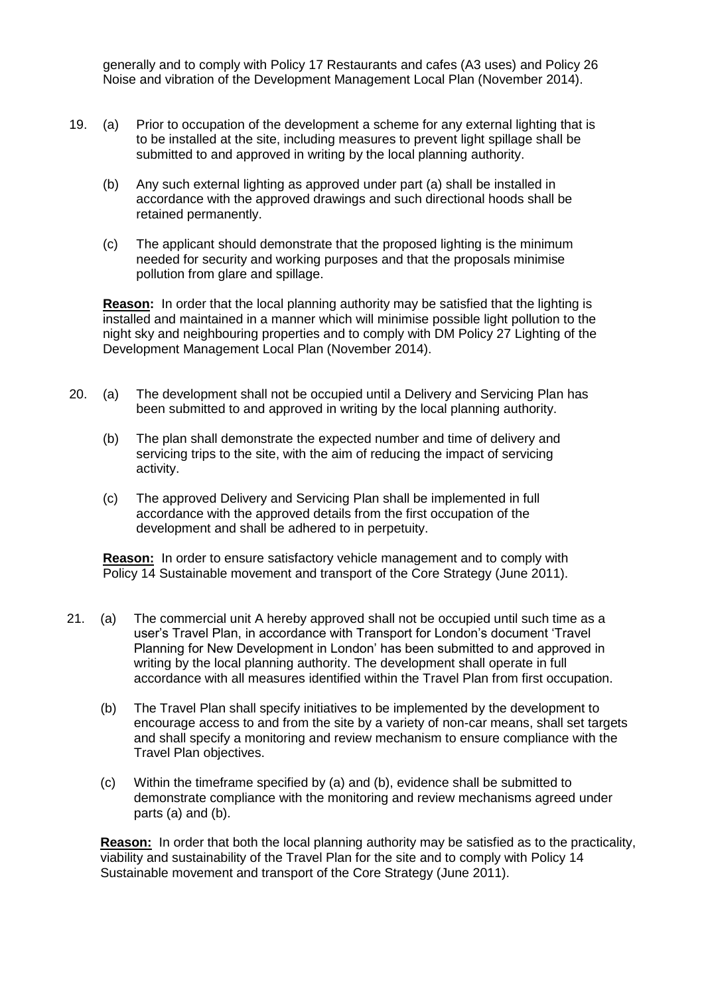generally and to comply with Policy 17 Restaurants and cafes (A3 uses) and Policy 26 Noise and vibration of the Development Management Local Plan (November 2014).

- 19. (a) Prior to occupation of the development a scheme for any external lighting that is to be installed at the site, including measures to prevent light spillage shall be submitted to and approved in writing by the local planning authority.
	- (b) Any such external lighting as approved under part (a) shall be installed in accordance with the approved drawings and such directional hoods shall be retained permanently.
	- (c) The applicant should demonstrate that the proposed lighting is the minimum needed for security and working purposes and that the proposals minimise pollution from glare and spillage.

**Reason:** In order that the local planning authority may be satisfied that the lighting is installed and maintained in a manner which will minimise possible light pollution to the night sky and neighbouring properties and to comply with DM Policy 27 Lighting of the Development Management Local Plan (November 2014).

- 20. (a) The development shall not be occupied until a Delivery and Servicing Plan has been submitted to and approved in writing by the local planning authority.
	- (b) The plan shall demonstrate the expected number and time of delivery and servicing trips to the site, with the aim of reducing the impact of servicing activity.
	- (c) The approved Delivery and Servicing Plan shall be implemented in full accordance with the approved details from the first occupation of the development and shall be adhered to in perpetuity.

**Reason:** In order to ensure satisfactory vehicle management and to comply with Policy 14 Sustainable movement and transport of the Core Strategy (June 2011).

- 21. (a) The commercial unit A hereby approved shall not be occupied until such time as a user's Travel Plan, in accordance with Transport for London's document 'Travel Planning for New Development in London' has been submitted to and approved in writing by the local planning authority. The development shall operate in full accordance with all measures identified within the Travel Plan from first occupation.
	- (b) The Travel Plan shall specify initiatives to be implemented by the development to encourage access to and from the site by a variety of non-car means, shall set targets and shall specify a monitoring and review mechanism to ensure compliance with the Travel Plan objectives.
	- (c) Within the timeframe specified by (a) and (b), evidence shall be submitted to demonstrate compliance with the monitoring and review mechanisms agreed under parts (a) and (b).

**Reason:** In order that both the local planning authority may be satisfied as to the practicality, viability and sustainability of the Travel Plan for the site and to comply with Policy 14 Sustainable movement and transport of the Core Strategy (June 2011).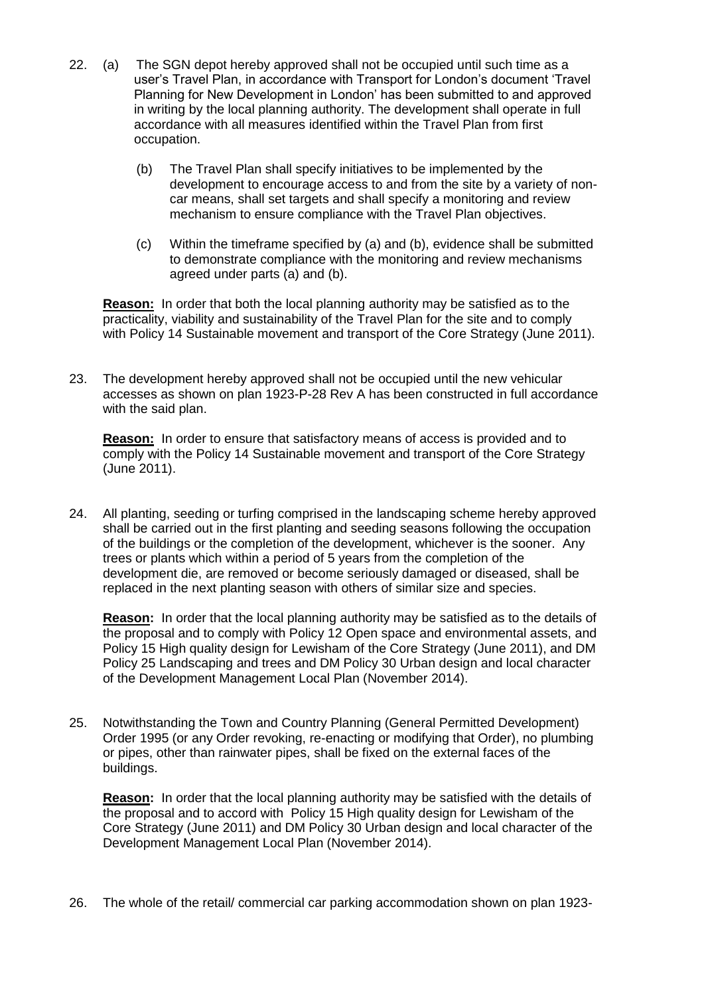- 22. (a) The SGN depot hereby approved shall not be occupied until such time as a user's Travel Plan, in accordance with Transport for London's document 'Travel Planning for New Development in London' has been submitted to and approved in writing by the local planning authority. The development shall operate in full accordance with all measures identified within the Travel Plan from first occupation.
	- (b) The Travel Plan shall specify initiatives to be implemented by the development to encourage access to and from the site by a variety of noncar means, shall set targets and shall specify a monitoring and review mechanism to ensure compliance with the Travel Plan objectives.
	- (c) Within the timeframe specified by (a) and (b), evidence shall be submitted to demonstrate compliance with the monitoring and review mechanisms agreed under parts (a) and (b).

**Reason:** In order that both the local planning authority may be satisfied as to the practicality, viability and sustainability of the Travel Plan for the site and to comply with Policy 14 Sustainable movement and transport of the Core Strategy (June 2011).

23. The development hereby approved shall not be occupied until the new vehicular accesses as shown on plan 1923-P-28 Rev A has been constructed in full accordance with the said plan.

**Reason:** In order to ensure that satisfactory means of access is provided and to comply with the Policy 14 Sustainable movement and transport of the Core Strategy (June 2011).

24. All planting, seeding or turfing comprised in the landscaping scheme hereby approved shall be carried out in the first planting and seeding seasons following the occupation of the buildings or the completion of the development, whichever is the sooner. Any trees or plants which within a period of 5 years from the completion of the development die, are removed or become seriously damaged or diseased, shall be replaced in the next planting season with others of similar size and species.

**Reason:** In order that the local planning authority may be satisfied as to the details of the proposal and to comply with Policy 12 Open space and environmental assets, and Policy 15 High quality design for Lewisham of the Core Strategy (June 2011), and DM Policy 25 Landscaping and trees and DM Policy 30 Urban design and local character of the Development Management Local Plan (November 2014).

25. Notwithstanding the Town and Country Planning (General Permitted Development) Order 1995 (or any Order revoking, re-enacting or modifying that Order), no plumbing or pipes, other than rainwater pipes, shall be fixed on the external faces of the buildings.

**Reason:** In order that the local planning authority may be satisfied with the details of the proposal and to accord with Policy 15 High quality design for Lewisham of the Core Strategy (June 2011) and DM Policy 30 Urban design and local character of the Development Management Local Plan (November 2014).

26. The whole of the retail/ commercial car parking accommodation shown on plan 1923-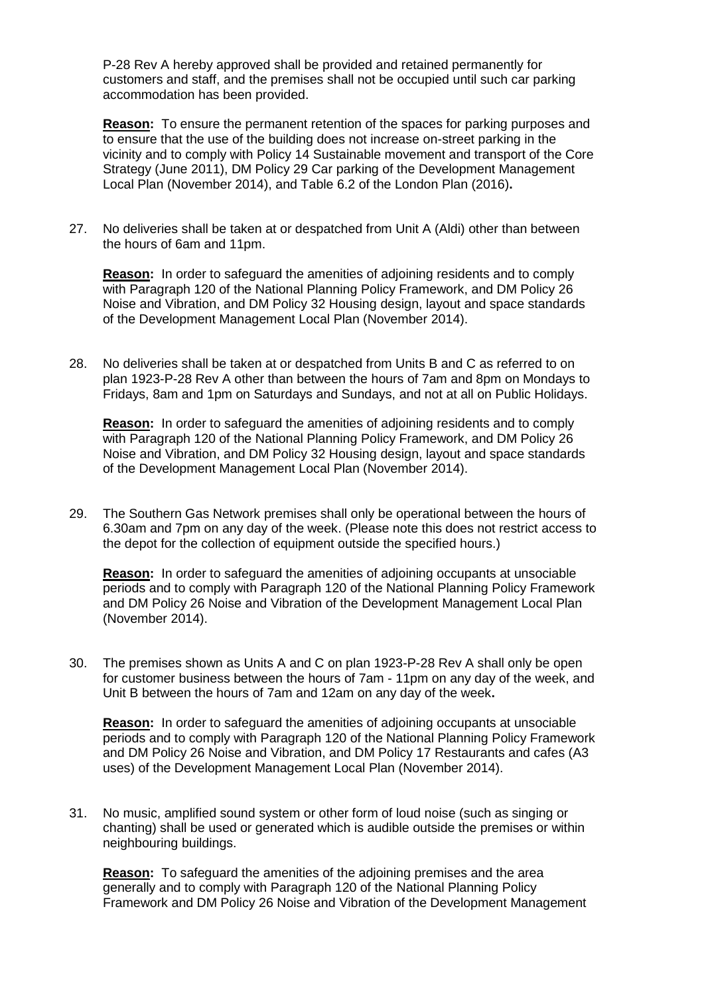P-28 Rev A hereby approved shall be provided and retained permanently for customers and staff, and the premises shall not be occupied until such car parking accommodation has been provided.

**Reason:** To ensure the permanent retention of the spaces for parking purposes and to ensure that the use of the building does not increase on-street parking in the vicinity and to comply with Policy 14 Sustainable movement and transport of the Core Strategy (June 2011), DM Policy 29 Car parking of the Development Management Local Plan (November 2014), and Table 6.2 of the London Plan (2016)**.**

27. No deliveries shall be taken at or despatched from Unit A (Aldi) other than between the hours of 6am and 11pm.

**Reason:** In order to safeguard the amenities of adjoining residents and to comply with Paragraph 120 of the National Planning Policy Framework, and DM Policy 26 Noise and Vibration, and DM Policy 32 Housing design, layout and space standards of the Development Management Local Plan (November 2014).

28. No deliveries shall be taken at or despatched from Units B and C as referred to on plan 1923-P-28 Rev A other than between the hours of 7am and 8pm on Mondays to Fridays, 8am and 1pm on Saturdays and Sundays, and not at all on Public Holidays.

**Reason:** In order to safeguard the amenities of adjoining residents and to comply with Paragraph 120 of the National Planning Policy Framework, and DM Policy 26 Noise and Vibration, and DM Policy 32 Housing design, layout and space standards of the Development Management Local Plan (November 2014).

29. The Southern Gas Network premises shall only be operational between the hours of 6.30am and 7pm on any day of the week. (Please note this does not restrict access to the depot for the collection of equipment outside the specified hours.)

**Reason:** In order to safeguard the amenities of adjoining occupants at unsociable periods and to comply with Paragraph 120 of the National Planning Policy Framework and DM Policy 26 Noise and Vibration of the Development Management Local Plan (November 2014).

30. The premises shown as Units A and C on plan 1923-P-28 Rev A shall only be open for customer business between the hours of 7am - 11pm on any day of the week, and Unit B between the hours of 7am and 12am on any day of the week**.**

**Reason:** In order to safeguard the amenities of adjoining occupants at unsociable periods and to comply with Paragraph 120 of the National Planning Policy Framework and DM Policy 26 Noise and Vibration, and DM Policy 17 Restaurants and cafes (A3 uses) of the Development Management Local Plan (November 2014).

31. No music, amplified sound system or other form of loud noise (such as singing or chanting) shall be used or generated which is audible outside the premises or within neighbouring buildings.

**Reason:** To safeguard the amenities of the adjoining premises and the area generally and to comply with Paragraph 120 of the National Planning Policy Framework and DM Policy 26 Noise and Vibration of the Development Management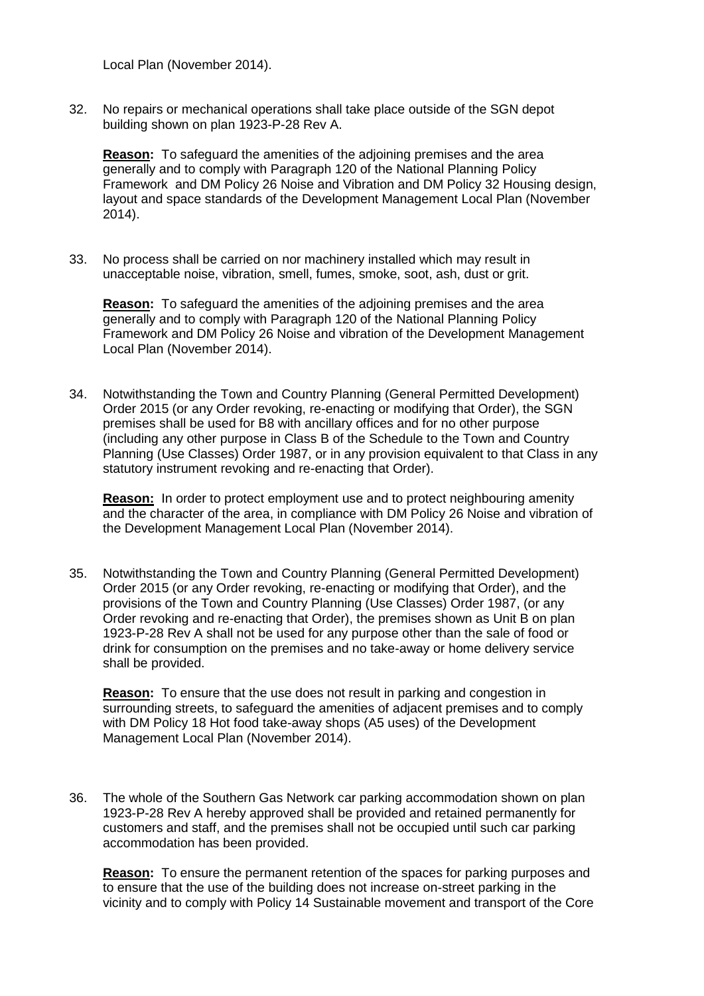Local Plan (November 2014).

32. No repairs or mechanical operations shall take place outside of the SGN depot building shown on plan 1923-P-28 Rev A.

**Reason:** To safeguard the amenities of the adjoining premises and the area generally and to comply with Paragraph 120 of the National Planning Policy Framework and DM Policy 26 Noise and Vibration and DM Policy 32 Housing design, layout and space standards of the Development Management Local Plan (November 2014).

33. No process shall be carried on nor machinery installed which may result in unacceptable noise, vibration, smell, fumes, smoke, soot, ash, dust or grit.

**Reason:** To safeguard the amenities of the adjoining premises and the area generally and to comply with Paragraph 120 of the National Planning Policy Framework and DM Policy 26 Noise and vibration of the Development Management Local Plan (November 2014).

34. Notwithstanding the Town and Country Planning (General Permitted Development) Order 2015 (or any Order revoking, re-enacting or modifying that Order), the SGN premises shall be used for B8 with ancillary offices and for no other purpose (including any other purpose in Class B of the Schedule to the Town and Country Planning (Use Classes) Order 1987, or in any provision equivalent to that Class in any statutory instrument revoking and re-enacting that Order).

**Reason:** In order to protect employment use and to protect neighbouring amenity and the character of the area, in compliance with DM Policy 26 Noise and vibration of the Development Management Local Plan (November 2014).

35. Notwithstanding the Town and Country Planning (General Permitted Development) Order 2015 (or any Order revoking, re-enacting or modifying that Order), and the provisions of the Town and Country Planning (Use Classes) Order 1987, (or any Order revoking and re-enacting that Order), the premises shown as Unit B on plan 1923-P-28 Rev A shall not be used for any purpose other than the sale of food or drink for consumption on the premises and no take-away or home delivery service shall be provided.

**Reason:** To ensure that the use does not result in parking and congestion in surrounding streets, to safeguard the amenities of adjacent premises and to comply with DM Policy 18 Hot food take-away shops (A5 uses) of the Development Management Local Plan (November 2014).

36. The whole of the Southern Gas Network car parking accommodation shown on plan 1923-P-28 Rev A hereby approved shall be provided and retained permanently for customers and staff, and the premises shall not be occupied until such car parking accommodation has been provided.

**Reason:** To ensure the permanent retention of the spaces for parking purposes and to ensure that the use of the building does not increase on-street parking in the vicinity and to comply with Policy 14 Sustainable movement and transport of the Core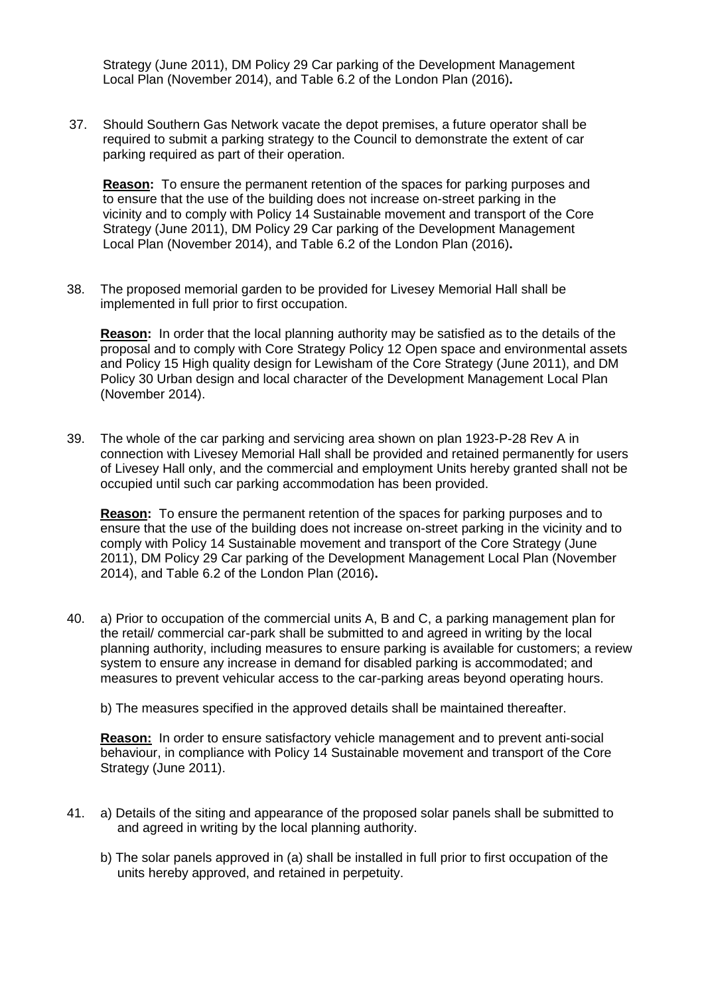Strategy (June 2011), DM Policy 29 Car parking of the Development Management Local Plan (November 2014), and Table 6.2 of the London Plan (2016)**.**

37. Should Southern Gas Network vacate the depot premises, a future operator shall be required to submit a parking strategy to the Council to demonstrate the extent of car parking required as part of their operation.

**Reason:** To ensure the permanent retention of the spaces for parking purposes and to ensure that the use of the building does not increase on-street parking in the vicinity and to comply with Policy 14 Sustainable movement and transport of the Core Strategy (June 2011), DM Policy 29 Car parking of the Development Management Local Plan (November 2014), and Table 6.2 of the London Plan (2016)**.**

38. The proposed memorial garden to be provided for Livesey Memorial Hall shall be implemented in full prior to first occupation.

**Reason:** In order that the local planning authority may be satisfied as to the details of the proposal and to comply with Core Strategy Policy 12 Open space and environmental assets and Policy 15 High quality design for Lewisham of the Core Strategy (June 2011), and DM Policy 30 Urban design and local character of the Development Management Local Plan (November 2014).

39. The whole of the car parking and servicing area shown on plan 1923-P-28 Rev A in connection with Livesey Memorial Hall shall be provided and retained permanently for users of Livesey Hall only, and the commercial and employment Units hereby granted shall not be occupied until such car parking accommodation has been provided.

**Reason:** To ensure the permanent retention of the spaces for parking purposes and to ensure that the use of the building does not increase on-street parking in the vicinity and to comply with Policy 14 Sustainable movement and transport of the Core Strategy (June 2011), DM Policy 29 Car parking of the Development Management Local Plan (November 2014), and Table 6.2 of the London Plan (2016)**.**

40. a) Prior to occupation of the commercial units A, B and C, a parking management plan for the retail/ commercial car-park shall be submitted to and agreed in writing by the local planning authority, including measures to ensure parking is available for customers; a review system to ensure any increase in demand for disabled parking is accommodated; and measures to prevent vehicular access to the car-parking areas beyond operating hours.

b) The measures specified in the approved details shall be maintained thereafter.

**Reason:** In order to ensure satisfactory vehicle management and to prevent anti-social behaviour, in compliance with Policy 14 Sustainable movement and transport of the Core Strategy (June 2011).

- 41. a) Details of the siting and appearance of the proposed solar panels shall be submitted to and agreed in writing by the local planning authority.
	- b) The solar panels approved in (a) shall be installed in full prior to first occupation of the units hereby approved, and retained in perpetuity.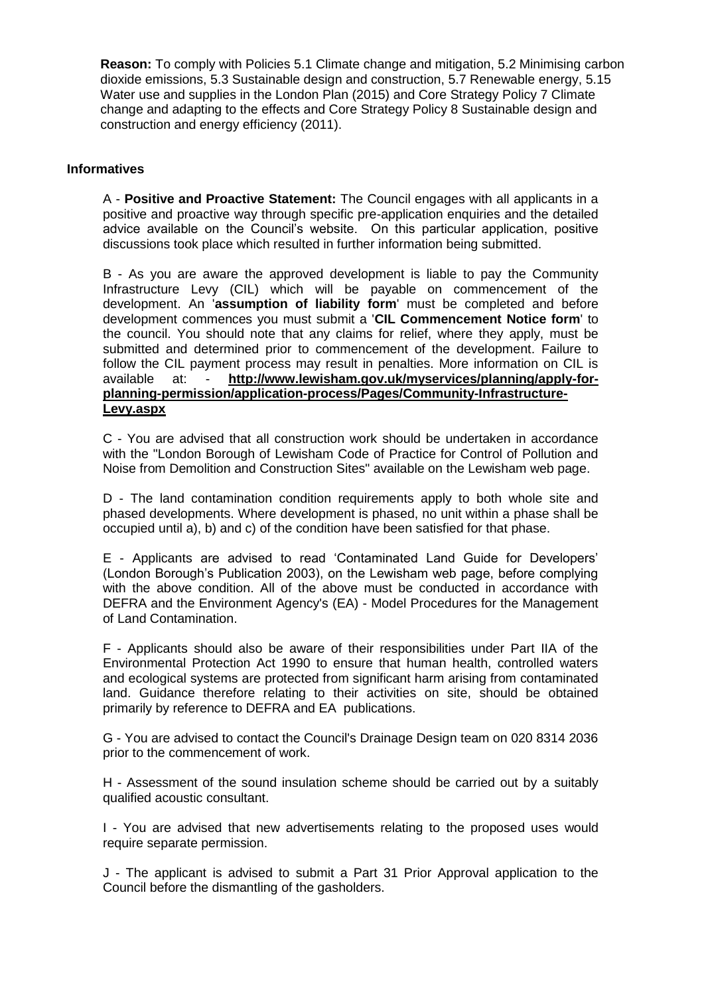**Reason:** To comply with Policies 5.1 Climate change and mitigation, 5.2 Minimising carbon dioxide emissions, 5.3 Sustainable design and construction, 5.7 Renewable energy, 5.15 Water use and supplies in the London Plan (2015) and Core Strategy Policy 7 Climate change and adapting to the effects and Core Strategy Policy 8 Sustainable design and construction and energy efficiency (2011).

### **Informatives**

A - **Positive and Proactive Statement:** The Council engages with all applicants in a positive and proactive way through specific pre-application enquiries and the detailed advice available on the Council's website. On this particular application, positive discussions took place which resulted in further information being submitted.

B - As you are aware the approved development is liable to pay the Community Infrastructure Levy (CIL) which will be payable on commencement of the development. An '**assumption of liability form**' must be completed and before development commences you must submit a '**CIL Commencement Notice form**' to the council. You should note that any claims for relief, where they apply, must be submitted and determined prior to commencement of the development. Failure to follow the CIL payment process may result in penalties. More information on CIL is available at: - **http://www.lewisham.gov.uk/myservices/planning/apply-forplanning-permission/application-process/Pages/Community-Infrastructure-Levy.aspx**

C - You are advised that all construction work should be undertaken in accordance with the "London Borough of Lewisham Code of Practice for Control of Pollution and Noise from Demolition and Construction Sites" available on the Lewisham web page.

D - The land contamination condition requirements apply to both whole site and phased developments. Where development is phased, no unit within a phase shall be occupied until a), b) and c) of the condition have been satisfied for that phase.

E - Applicants are advised to read 'Contaminated Land Guide for Developers' (London Borough's Publication 2003), on the Lewisham web page, before complying with the above condition. All of the above must be conducted in accordance with DEFRA and the Environment Agency's (EA) - Model Procedures for the Management of Land Contamination.

F - Applicants should also be aware of their responsibilities under Part IIA of the Environmental Protection Act 1990 to ensure that human health, controlled waters and ecological systems are protected from significant harm arising from contaminated land. Guidance therefore relating to their activities on site, should be obtained primarily by reference to DEFRA and EA publications.

 G- You are advised to contact the Council's Drainage Design team on 020 8314 2036 prior to the commencement of work.

H - Assessment of the sound insulation scheme should be carried out by a suitably qualified acoustic consultant.

I - You are advised that new advertisements relating to the proposed uses would require separate permission.

J - The applicant is advised to submit a Part 31 Prior Approval application to the Council before the dismantling of the gasholders.